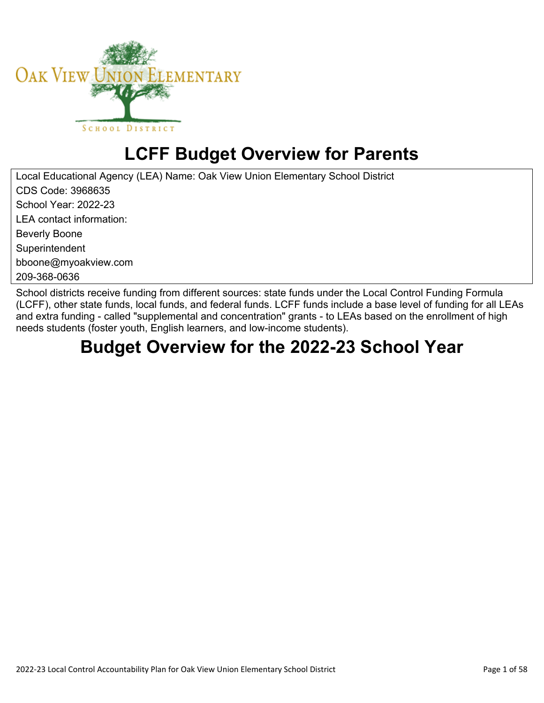

# **LCFF Budget Overview for Parents**

Local Educational Agency (LEA) Name: Oak View Union Elementary School District CDS Code: 3968635 School Year: 2022-23 LEA contact information: Beverly Boone **Superintendent** bboone@myoakview.com 209-368-0636

School districts receive funding from different sources: state funds under the Local Control Funding Formula (LCFF), other state funds, local funds, and federal funds. LCFF funds include a base level of funding for all LEAs and extra funding - called "supplemental and concentration" grants - to LEAs based on the enrollment of high needs students (foster youth, English learners, and low-income students).

## **Budget Overview for the 2022-23 School Year**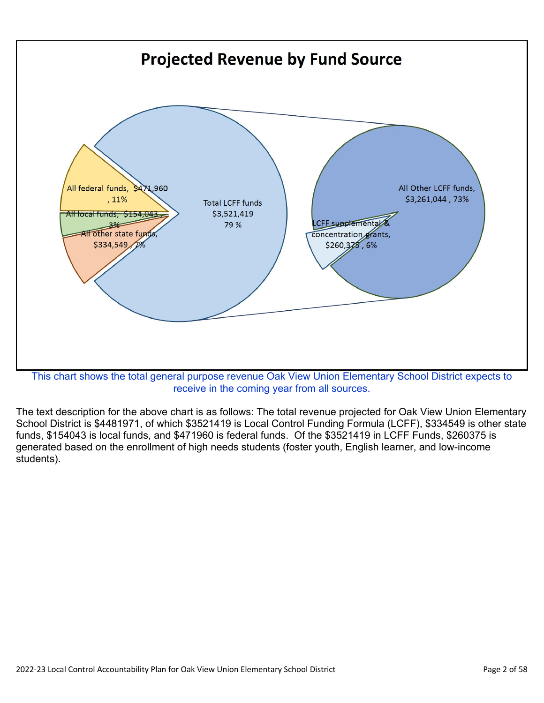

receive in the coming year from all sources.

The text description for the above chart is as follows: The total revenue projected for Oak View Union Elementary School District is \$4481971, of which \$3521419 is Local Control Funding Formula (LCFF), \$334549 is other state funds, \$154043 is local funds, and \$471960 is federal funds. Of the \$3521419 in LCFF Funds, \$260375 is generated based on the enrollment of high needs students (foster youth, English learner, and low-income students).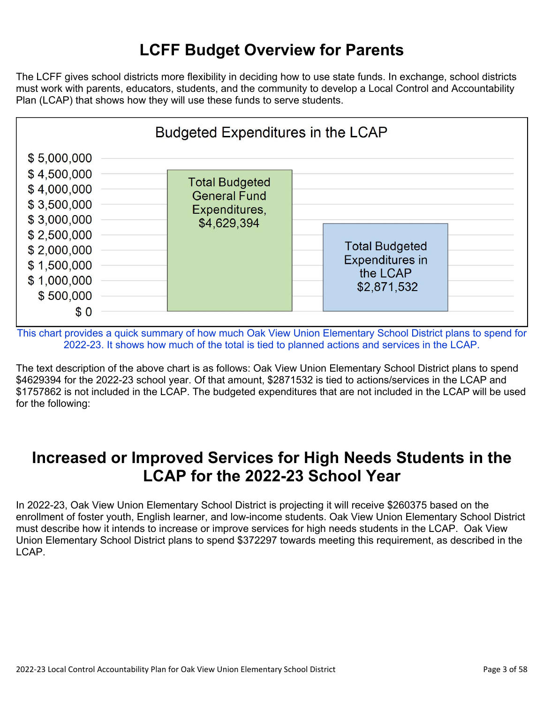## **LCFF Budget Overview for Parents**

The LCFF gives school districts more flexibility in deciding how to use state funds. In exchange, school districts must work with parents, educators, students, and the community to develop a Local Control and Accountability Plan (LCAP) that shows how they will use these funds to serve students.



This chart provides a quick summary of how much Oak View Union Elementary School District plans to spend for 2022-23. It shows how much of the total is tied to planned actions and services in the LCAP.

The text description of the above chart is as follows: Oak View Union Elementary School District plans to spend \$4629394 for the 2022-23 school year. Of that amount, \$2871532 is tied to actions/services in the LCAP and \$1757862 is not included in the LCAP. The budgeted expenditures that are not included in the LCAP will be used for the following:

### **Increased or Improved Services for High Needs Students in the LCAP for the 2022-23 School Year**

In 2022-23, Oak View Union Elementary School District is projecting it will receive \$260375 based on the enrollment of foster youth, English learner, and low-income students. Oak View Union Elementary School District must describe how it intends to increase or improve services for high needs students in the LCAP. Oak View Union Elementary School District plans to spend \$372297 towards meeting this requirement, as described in the LCAP.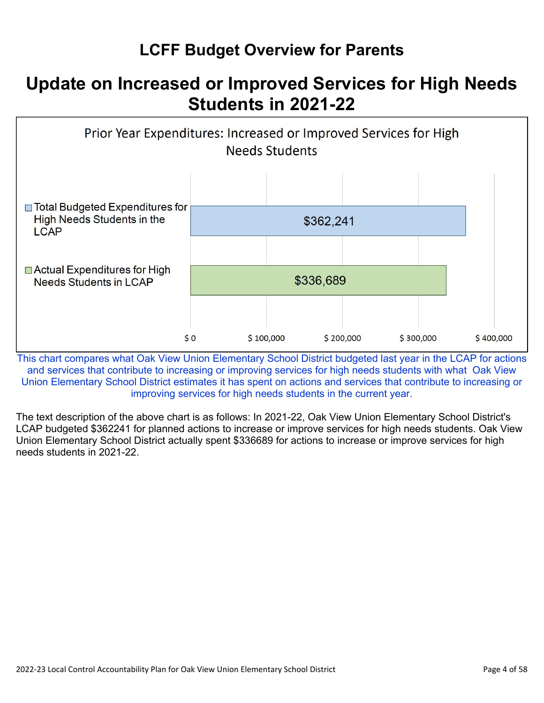## **LCFF Budget Overview for Parents**

## **Update on Increased or Improved Services for High Needs Students in 2021-22**



This chart compares what Oak View Union Elementary School District budgeted last year in the LCAP for actions and services that contribute to increasing or improving services for high needs students with what Oak View Union Elementary School District estimates it has spent on actions and services that contribute to increasing or improving services for high needs students in the current year.

The text description of the above chart is as follows: In 2021-22, Oak View Union Elementary School District's LCAP budgeted \$362241 for planned actions to increase or improve services for high needs students. Oak View Union Elementary School District actually spent \$336689 for actions to increase or improve services for high needs students in 2021-22.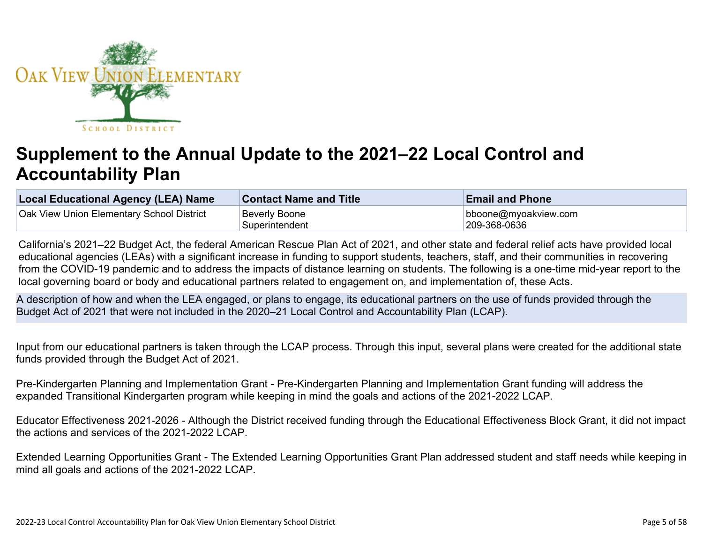

# **Supplement to the Annual Update to the 2021–22 Local Control and Accountability Plan**

| Local Educational Agency (LEA) Name       | <b>Contact Name and Title</b> | <b>Email and Phone</b> |
|-------------------------------------------|-------------------------------|------------------------|
| Oak View Union Elementary School District | Beverly Boone                 | bboone@myoakview.com   |
|                                           | Superintendent                | 209-368-0636           |

California's 2021–22 Budget Act, the federal American Rescue Plan Act of 2021, and other state and federal relief acts have provided local educational agencies (LEAs) with a significant increase in funding to support students, teachers, staff, and their communities in recovering from the COVID-19 pandemic and to address the impacts of distance learning on students. The following is a one-time mid-year report to the local governing board or body and educational partners related to engagement on, and implementation of, these Acts.

A description of how and when the LEA engaged, or plans to engage, its educational partners on the use of funds provided through the Budget Act of 2021 that were not included in the 2020–21 Local Control and Accountability Plan (LCAP).

Input from our educational partners is taken through the LCAP process. Through this input, several plans were created for the additional state funds provided through the Budget Act of 2021.

Pre-Kindergarten Planning and Implementation Grant - Pre-Kindergarten Planning and Implementation Grant funding will address the expanded Transitional Kindergarten program while keeping in mind the goals and actions of the 2021-2022 LCAP.

Educator Effectiveness 2021-2026 - Although the District received funding through the Educational Effectiveness Block Grant, it did not impact the actions and services of the 2021-2022 LCAP.

Extended Learning Opportunities Grant - The Extended Learning Opportunities Grant Plan addressed student and staff needs while keeping in mind all goals and actions of the 2021-2022 LCAP.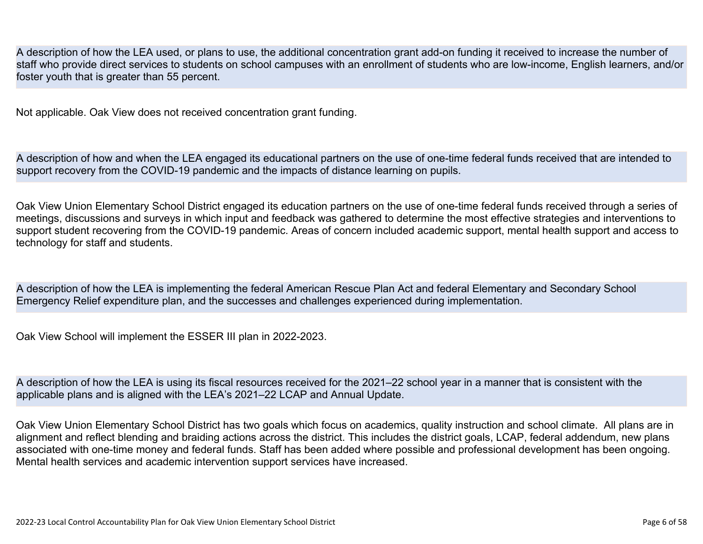A description of how the LEA used, or plans to use, the additional concentration grant add-on funding it received to increase the number of staff who provide direct services to students on school campuses with an enrollment of students who are low-income, English learners, and/or foster youth that is greater than 55 percent.

Not applicable. Oak View does not received concentration grant funding.

A description of how and when the LEA engaged its educational partners on the use of one-time federal funds received that are intended to support recovery from the COVID-19 pandemic and the impacts of distance learning on pupils.

Oak View Union Elementary School District engaged its education partners on the use of one-time federal funds received through a series of meetings, discussions and surveys in which input and feedback was gathered to determine the most effective strategies and interventions to support student recovering from the COVID-19 pandemic. Areas of concern included academic support, mental health support and access to technology for staff and students.

A description of how the LEA is implementing the federal American Rescue Plan Act and federal Elementary and Secondary School Emergency Relief expenditure plan, and the successes and challenges experienced during implementation.

Oak View School will implement the ESSER III plan in 2022-2023.

A description of how the LEA is using its fiscal resources received for the 2021–22 school year in a manner that is consistent with the applicable plans and is aligned with the LEA's 2021–22 LCAP and Annual Update.

Oak View Union Elementary School District has two goals which focus on academics, quality instruction and school climate. All plans are in alignment and reflect blending and braiding actions across the district. This includes the district goals, LCAP, federal addendum, new plans associated with one-time money and federal funds. Staff has been added where possible and professional development has been ongoing. Mental health services and academic intervention support services have increased.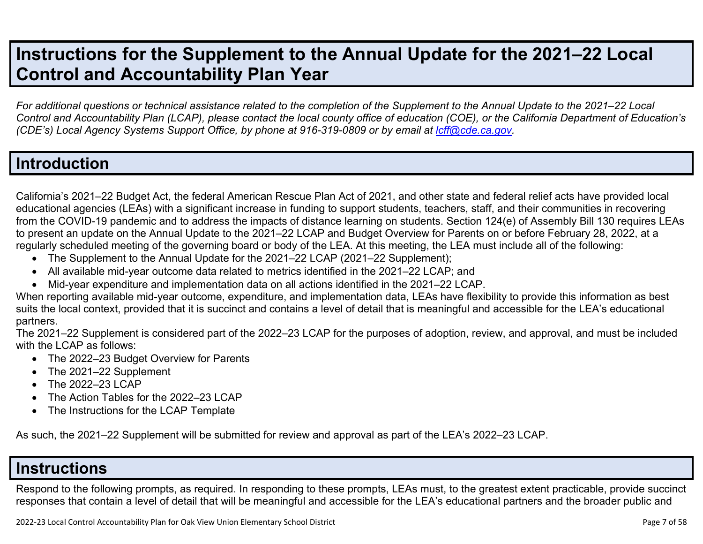## **Instructions for the Supplement to the Annual Update for the 2021–22 Local Control and Accountability Plan Year**

*For additional questions or technical assistance related to the completion of the Supplement to the Annual Update to the 2021–22 Local Control and Accountability Plan (LCAP), please contact the local county office of education (COE), or the California Department of Education's (CDE's)* Local Agency Systems Support Office, by phone at 916-319-0809 or by email at *[lcff@cde.ca.gov](mailto:lcff@cde.ca.gov)*.

### **Introduction**

California's 2021–22 Budget Act, the federal American Rescue Plan Act of 2021, and other state and federal relief acts have provided local educational agencies (LEAs) with a significant increase in funding to support students, teachers, staff, and their communities in recovering from the COVID-19 pandemic and to address the impacts of distance learning on students. Section 124(e) of Assembly Bill 130 requires LEAs to present an update on the Annual Update to the 2021–22 LCAP and Budget Overview for Parents on or before February 28, 2022, at a regularly scheduled meeting of the governing board or body of the LEA. At this meeting, the LEA must include all of the following:

- The Supplement to the Annual Update for the 2021–22 LCAP (2021–22 Supplement);
- All available mid-year outcome data related to metrics identified in the 2021–22 LCAP; and
- Mid-year expenditure and implementation data on all actions identified in the 2021–22 LCAP.

When reporting available mid-year outcome, expenditure, and implementation data, LEAs have flexibility to provide this information as best suits the local context, provided that it is succinct and contains a level of detail that is meaningful and accessible for the LEA's educational partners.

The 2021–22 Supplement is considered part of the 2022–23 LCAP for the purposes of adoption, review, and approval, and must be included with the LCAP as follows:

- The 2022–23 Budget Overview for Parents
- The 2021-22 Supplement
- The 2022-23 LCAP
- The Action Tables for the 2022–23 LCAP
- The Instructions for the LCAP Template

As such, the 2021–22 Supplement will be submitted for review and approval as part of the LEA's 2022–23 LCAP.

### **Instructions**

Respond to the following prompts, as required. In responding to these prompts, LEAs must, to the greatest extent practicable, provide succinct responses that contain a level of detail that will be meaningful and accessible for the LEA's educational partners and the broader public and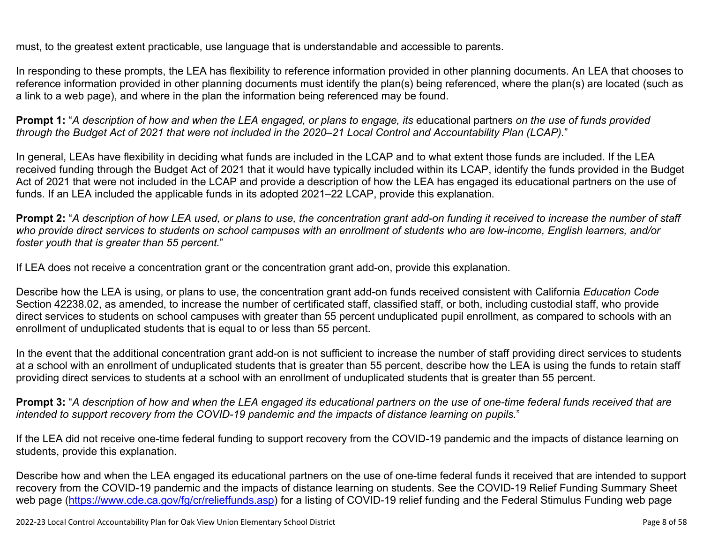must, to the greatest extent practicable, use language that is understandable and accessible to parents.

In responding to these prompts, the LEA has flexibility to reference information provided in other planning documents. An LEA that chooses to reference information provided in other planning documents must identify the plan(s) being referenced, where the plan(s) are located (such as a link to a web page), and where in the plan the information being referenced may be found.

**Prompt 1:** "*A description of how and when the LEA engaged, or plans to engage, its* educational partners *on the use of funds provided through the Budget Act of 2021 that were not included in the 2020–21 Local Control and Accountability Plan (LCAP).*"

In general, LEAs have flexibility in deciding what funds are included in the LCAP and to what extent those funds are included. If the LEA received funding through the Budget Act of 2021 that it would have typically included within its LCAP, identify the funds provided in the Budget Act of 2021 that were not included in the LCAP and provide a description of how the LEA has engaged its educational partners on the use of funds. If an LEA included the applicable funds in its adopted 2021–22 LCAP, provide this explanation.

**Prompt 2:** "*A description of how LEA used, or plans to use, the concentration grant add-on funding it received to increase the number of staff who provide direct services to students on school campuses with an enrollment of students who are low-income, English learners, and/or foster youth that is greater than 55 percent.*"

If LEA does not receive a concentration grant or the concentration grant add-on, provide this explanation.

Describe how the LEA is using, or plans to use, the concentration grant add-on funds received consistent with California *Education Code* Section 42238.02, as amended, to increase the number of certificated staff, classified staff, or both, including custodial staff, who provide direct services to students on school campuses with greater than 55 percent unduplicated pupil enrollment, as compared to schools with an enrollment of unduplicated students that is equal to or less than 55 percent.

In the event that the additional concentration grant add-on is not sufficient to increase the number of staff providing direct services to students at a school with an enrollment of unduplicated students that is greater than 55 percent, describe how the LEA is using the funds to retain staff providing direct services to students at a school with an enrollment of unduplicated students that is greater than 55 percent.

**Prompt 3:** "*A description of how and when the LEA engaged its educational partners on the use of one-time federal funds received that are intended to support recovery from the COVID-19 pandemic and the impacts of distance learning on pupils.*"

If the LEA did not receive one-time federal funding to support recovery from the COVID-19 pandemic and the impacts of distance learning on students, provide this explanation.

Describe how and when the LEA engaged its educational partners on the use of one-time federal funds it received that are intended to support recovery from the COVID-19 pandemic and the impacts of distance learning on students. See the COVID-19 Relief Funding Summary Sheet web page [\(https://www.cde.ca.gov/fg/cr/relieffunds.asp\)](https://www.cde.ca.gov/fg/cr/relieffunds.asp) for a listing of COVID-19 relief funding and the Federal Stimulus Funding web page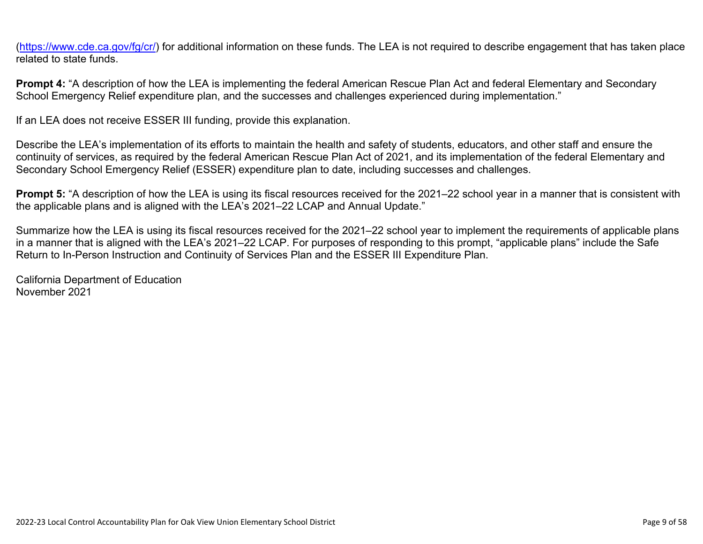(<https://www.cde.ca.gov/fg/cr/>) for additional information on these funds. The LEA is not required to describe engagement that has taken place related to state funds.

**Prompt 4:** "A description of how the LEA is implementing the federal American Rescue Plan Act and federal Elementary and Secondary School Emergency Relief expenditure plan, and the successes and challenges experienced during implementation."

If an LEA does not receive ESSER III funding, provide this explanation.

Describe the LEA's implementation of its efforts to maintain the health and safety of students, educators, and other staff and ensure the continuity of services, as required by the federal American Rescue Plan Act of 2021, and its implementation of the federal Elementary and Secondary School Emergency Relief (ESSER) expenditure plan to date, including successes and challenges.

**Prompt 5:** "A description of how the LEA is using its fiscal resources received for the 2021–22 school year in a manner that is consistent with the applicable plans and is aligned with the LEA's 2021–22 LCAP and Annual Update."

Summarize how the LEA is using its fiscal resources received for the 2021–22 school year to implement the requirements of applicable plans in a manner that is aligned with the LEA's 2021–22 LCAP. For purposes of responding to this prompt, "applicable plans" include the Safe Return to In-Person Instruction and Continuity of Services Plan and the ESSER III Expenditure Plan.

California Department of Education November 2021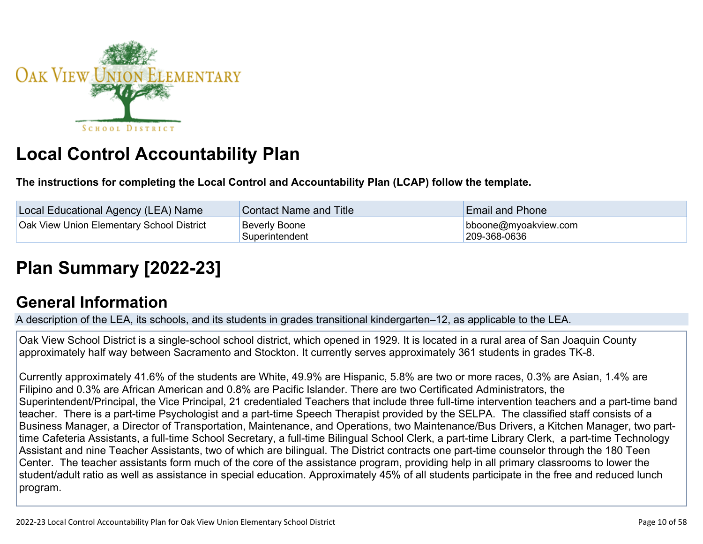

# **Local Control Accountability Plan**

**The instructions for completing the Local Control and Accountability Plan (LCAP) follow the template.**

| Local Educational Agency (LEA) Name              | <b>Contact Name and Title</b>          | <b>Email and Phone</b>               |
|--------------------------------------------------|----------------------------------------|--------------------------------------|
| <b>Oak View Union Elementary School District</b> | <b>Beverly Boone</b><br>Superintendent | bboone@myoakview.com<br>209-368-0636 |

# **[Plan Summary \[2022-23\]](http://www.doc-tracking.com/screenshots/22LCAP/Instructions/22LCAPInstructions.htm#PlanSummary)**

### **[General Information](http://www.doc-tracking.com/screenshots/22LCAP/Instructions/22LCAPInstructions.htm#generalinformation)**

A description of the LEA, its schools, and its students in grades transitional kindergarten–12, as applicable to the LEA.

Oak View School District is a single-school school district, which opened in 1929. It is located in a rural area of San Joaquin County approximately half way between Sacramento and Stockton. It currently serves approximately 361 students in grades TK-8.

Currently approximately 41.6% of the students are White, 49.9% are Hispanic, 5.8% are two or more races, 0.3% are Asian, 1.4% are Filipino and 0.3% are African American and 0.8% are Pacific Islander. There are two Certificated Administrators, the Superintendent/Principal, the Vice Principal, 21 credentialed Teachers that include three full-time intervention teachers and a part-time band teacher. There is a part-time Psychologist and a part-time Speech Therapist provided by the SELPA. The classified staff consists of a Business Manager, a Director of Transportation, Maintenance, and Operations, two Maintenance/Bus Drivers, a Kitchen Manager, two parttime Cafeteria Assistants, a full-time School Secretary, a full-time Bilingual School Clerk, a part-time Library Clerk, a part-time Technology Assistant and nine Teacher Assistants, two of which are bilingual. The District contracts one part-time counselor through the 180 Teen Center. The teacher assistants form much of the core of the assistance program, providing help in all primary classrooms to lower the student/adult ratio as well as assistance in special education. Approximately 45% of all students participate in the free and reduced lunch program.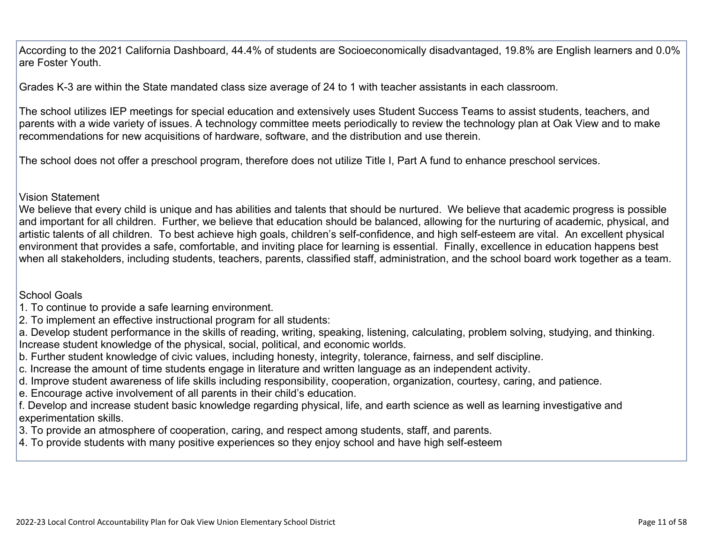According to the 2021 California Dashboard, 44.4% of students are Socioeconomically disadvantaged, 19.8% are English learners and 0.0% are Foster Youth.

Grades K-3 are within the State mandated class size average of 24 to 1 with teacher assistants in each classroom.

The school utilizes IEP meetings for special education and extensively uses Student Success Teams to assist students, teachers, and parents with a wide variety of issues. A technology committee meets periodically to review the technology plan at Oak View and to make recommendations for new acquisitions of hardware, software, and the distribution and use therein.

The school does not offer a preschool program, therefore does not utilize Title I, Part A fund to enhance preschool services.

#### Vision Statement

We believe that every child is unique and has abilities and talents that should be nurtured. We believe that academic progress is possible and important for all children. Further, we believe that education should be balanced, allowing for the nurturing of academic, physical, and artistic talents of all children. To best achieve high goals, children's self-confidence, and high self-esteem are vital. An excellent physical environment that provides a safe, comfortable, and inviting place for learning is essential. Finally, excellence in education happens best when all stakeholders, including students, teachers, parents, classified staff, administration, and the school board work together as a team.

#### School Goals

- 1. To continue to provide a safe learning environment.
- 2. To implement an effective instructional program for all students:

a. Develop student performance in the skills of reading, writing, speaking, listening, calculating, problem solving, studying, and thinking. Increase student knowledge of the physical, social, political, and economic worlds.

- b. Further student knowledge of civic values, including honesty, integrity, tolerance, fairness, and self discipline.
- c. Increase the amount of time students engage in literature and written language as an independent activity.
- d. Improve student awareness of life skills including responsibility, cooperation, organization, courtesy, caring, and patience.
- e. Encourage active involvement of all parents in their child's education.
- f. Develop and increase student basic knowledge regarding physical, life, and earth science as well as learning investigative and experimentation skills.
- 3. To provide an atmosphere of cooperation, caring, and respect among students, staff, and parents.
- 4. To provide students with many positive experiences so they enjoy school and have high self-esteem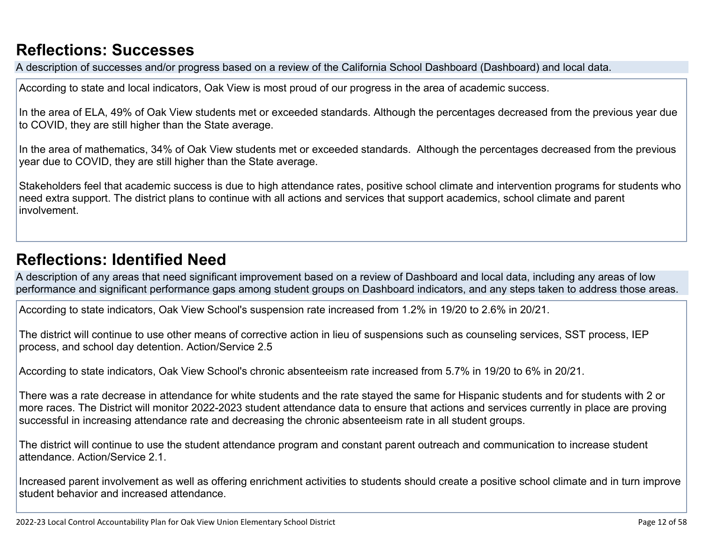## **[Reflections: Successes](http://www.doc-tracking.com/screenshots/22LCAP/Instructions/22LCAPInstructions.htm#ReflectionsSuccesses)**

A description of successes and/or progress based on a review of the California School Dashboard (Dashboard) and local data.

According to state and local indicators, Oak View is most proud of our progress in the area of academic success.

In the area of ELA, 49% of Oak View students met or exceeded standards. Although the percentages decreased from the previous year due to COVID, they are still higher than the State average.

In the area of mathematics, 34% of Oak View students met or exceeded standards. Although the percentages decreased from the previous year due to COVID, they are still higher than the State average.

Stakeholders feel that academic success is due to high attendance rates, positive school climate and intervention programs for students who need extra support. The district plans to continue with all actions and services that support academics, school climate and parent involvement.

## **[Reflections: Identified Need](http://www.doc-tracking.com/screenshots/22LCAP/Instructions/22LCAPInstructions.htm#ReflectionsIdentifiedNeed)**

A description of any areas that need significant improvement based on a review of Dashboard and local data, including any areas of low performance and significant performance gaps among student groups on Dashboard indicators, and any steps taken to address those areas.

According to state indicators, Oak View School's suspension rate increased from 1.2% in 19/20 to 2.6% in 20/21.

The district will continue to use other means of corrective action in lieu of suspensions such as counseling services, SST process, IEP process, and school day detention. Action/Service 2.5

According to state indicators, Oak View School's chronic absenteeism rate increased from 5.7% in 19/20 to 6% in 20/21.

There was a rate decrease in attendance for white students and the rate stayed the same for Hispanic students and for students with 2 or more races. The District will monitor 2022-2023 student attendance data to ensure that actions and services currently in place are proving successful in increasing attendance rate and decreasing the chronic absenteeism rate in all student groups.

The district will continue to use the student attendance program and constant parent outreach and communication to increase student attendance. Action/Service 2.1.

Increased parent involvement as well as offering enrichment activities to students should create a positive school climate and in turn improve student behavior and increased attendance.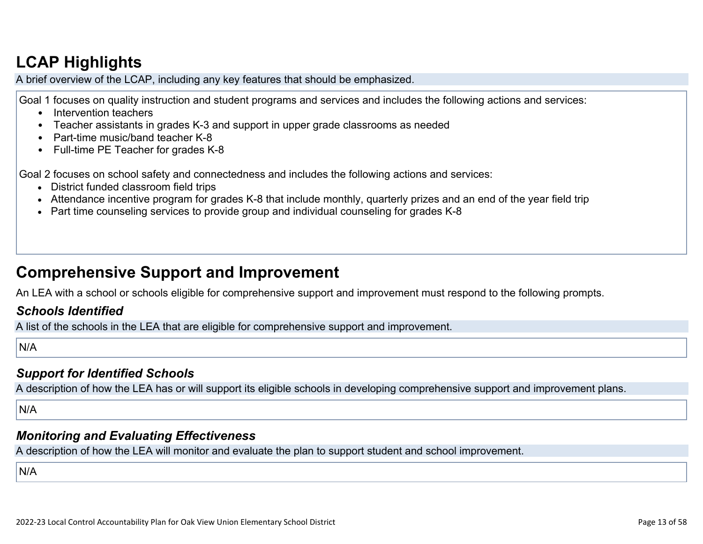## **[LCAP Highlights](http://www.doc-tracking.com/screenshots/22LCAP/Instructions/22LCAPInstructions.htm#LCAPHighlights)**

A brief overview of the LCAP, including any key features that should be emphasized.

Goal 1 focuses on quality instruction and student programs and services and includes the following actions and services:

- Intervention teachers
- Teacher assistants in grades K-3 and support in upper grade classrooms as needed
- Part-time music/band teacher K-8
- Full-time PE Teacher for grades K-8

Goal 2 focuses on school safety and connectedness and includes the following actions and services:

- District funded classroom field trips
- Attendance incentive program for grades K-8 that include monthly, quarterly prizes and an end of the year field trip
- Part time counseling services to provide group and individual counseling for grades K-8

## **Comprehensive Support and Improvement**

An LEA with a school or schools eligible for comprehensive support and improvement must respond to the following prompts.

#### *[Schools Identified](http://www.doc-tracking.com/screenshots/22LCAP/Instructions/22LCAPInstructions.htm#SchoolsIdentified)*

A list of the schools in the LEA that are eligible for comprehensive support and improvement.

N/A

### *[Support for Identified Schools](http://www.doc-tracking.com/screenshots/22LCAP/Instructions/22LCAPInstructions.htm#SupportforIdentifiedSchools)*

A description of how the LEA has or will support its eligible schools in developing comprehensive support and improvement plans.

N/A

#### *[Monitoring and Evaluating Effectiveness](http://www.doc-tracking.com/screenshots/22LCAP/Instructions/22LCAPInstructions.htm#MonitoringandEvaluatingEffectiveness)*

A description of how the LEA will monitor and evaluate the plan to support student and school improvement.

N/A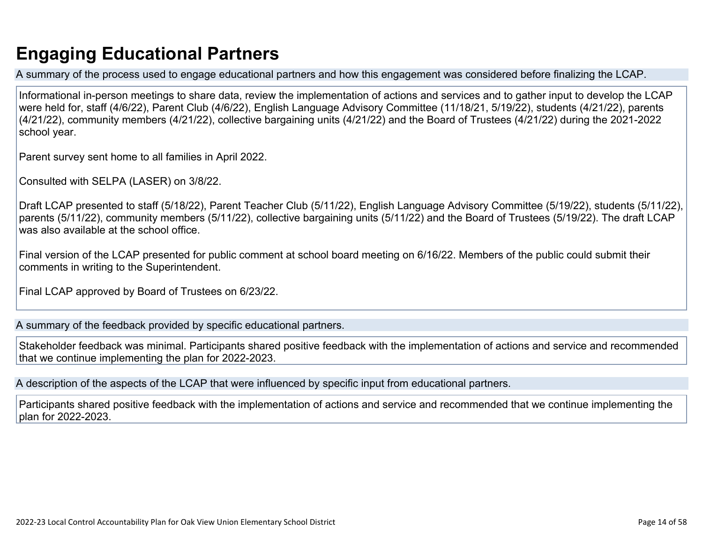## **Engaging Educational Partners**

A summary of the process used to engage educational partners and how this engagement was considered before finalizing the LCAP.

Informational in-person meetings to share data, review the implementation of actions and services and to gather input to develop the LCAP were held for, staff (4/6/22), Parent Club (4/6/22), English Language Advisory Committee (11/18/21, 5/19/22), students (4/21/22), parents (4/21/22), community members (4/21/22), collective bargaining units (4/21/22) and the Board of Trustees (4/21/22) during the 2021-2022 school year.

Parent survey sent home to all families in April 2022.

Consulted with SELPA (LASER) on 3/8/22.

Draft LCAP presented to staff (5/18/22), Parent Teacher Club (5/11/22), English Language Advisory Committee (5/19/22), students (5/11/22), parents (5/11/22), community members (5/11/22), collective bargaining units (5/11/22) and the Board of Trustees (5/19/22). The draft LCAP was also available at the school office.

Final version of the LCAP presented for public comment at school board meeting on 6/16/22. Members of the public could submit their comments in writing to the Superintendent.

Final LCAP approved by Board of Trustees on 6/23/22.

A summary of the feedback provided by specific educational partners.

Stakeholder feedback was minimal. Participants shared positive feedback with the implementation of actions and service and recommended that we continue implementing the plan for 2022-2023.

A description of the aspects of the LCAP that were influenced by specific input from educational partners.

Participants shared positive feedback with the implementation of actions and service and recommended that we continue implementing the plan for 2022-2023.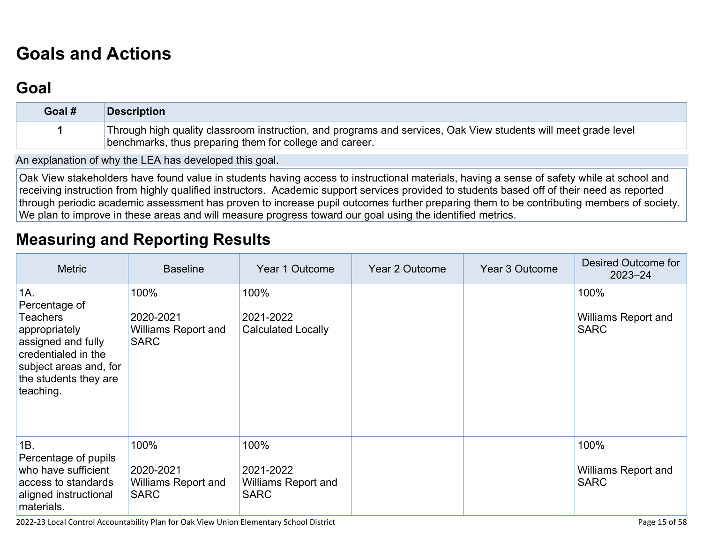# **[Goals and Actions](http://www.doc-tracking.com/screenshots/22LCAP/Instructions/22LCAPInstructions.htm#GoalsandActions)**

## **[Goal](http://www.doc-tracking.com/screenshots/22LCAP/Instructions/22LCAPInstructions.htm#goalDescription)**

| Goal # | <b>Description</b>                                                                                                                                                        |
|--------|---------------------------------------------------------------------------------------------------------------------------------------------------------------------------|
|        | Through high quality classroom instruction, and programs and services, Oak View students will meet grade level<br>benchmarks, thus preparing them for college and career. |

An explanation of why the LEA has developed this goal.

Oak View stakeholders have found value in students having access to instructional materials, having a sense of safety while at school and receiving instruction from highly qualified instructors. Academic support services provided to students based off of their need as reported through periodic academic assessment has proven to increase pupil outcomes further preparing them to be contributing members of society. We plan to improve in these areas and will measure progress toward our goal using the identified metrics.

### **[Measuring and Reporting Results](http://www.doc-tracking.com/screenshots/22LCAP/Instructions/22LCAPInstructions.htm#MeasuringandReportingResults)**

| <b>Metric</b>                                                                                                                                                         | <b>Baseline</b>                                                | Year 1 Outcome                                                 | Year 2 Outcome | Year 3 Outcome | Desired Outcome for<br>$2023 - 24$                |
|-----------------------------------------------------------------------------------------------------------------------------------------------------------------------|----------------------------------------------------------------|----------------------------------------------------------------|----------------|----------------|---------------------------------------------------|
| 1A.<br>Percentage of<br><b>Teachers</b><br>appropriately<br>assigned and fully<br>credentialed in the<br>subject areas and, for<br>the students they are<br>teaching. | 100%<br>2020-2021<br><b>Williams Report and</b><br><b>SARC</b> | 100%<br>2021-2022<br><b>Calculated Locally</b>                 |                |                | 100%<br><b>Williams Report and</b><br><b>SARC</b> |
| 1B.<br>Percentage of pupils<br>who have sufficient<br>access to standards<br>aligned instructional<br>materials.                                                      | 100%<br>2020-2021<br><b>Williams Report and</b><br><b>SARC</b> | 100%<br>2021-2022<br><b>Williams Report and</b><br><b>SARC</b> |                |                | 100%<br><b>Williams Report and</b><br><b>SARC</b> |

2022-23 Local Control Accountability Plan for Oak View Union Elementary School District **Page 15** of 58 and the structure Page 15 of 58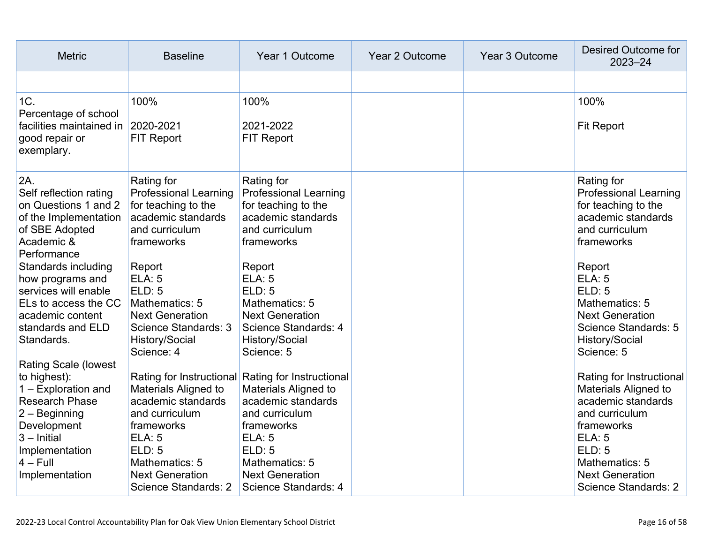| <b>Metric</b>                                                                                                                                                                                  | <b>Baseline</b>                                                                                                                                                                  | Year 1 Outcome                                                                                                                                                                                                                 | <b>Year 2 Outcome</b> | Year 3 Outcome | <b>Desired Outcome for</b><br>$2023 - 24$                                                                                                                                                                    |
|------------------------------------------------------------------------------------------------------------------------------------------------------------------------------------------------|----------------------------------------------------------------------------------------------------------------------------------------------------------------------------------|--------------------------------------------------------------------------------------------------------------------------------------------------------------------------------------------------------------------------------|-----------------------|----------------|--------------------------------------------------------------------------------------------------------------------------------------------------------------------------------------------------------------|
|                                                                                                                                                                                                |                                                                                                                                                                                  |                                                                                                                                                                                                                                |                       |                |                                                                                                                                                                                                              |
| 1C.                                                                                                                                                                                            | 100%                                                                                                                                                                             | 100%                                                                                                                                                                                                                           |                       |                | 100%                                                                                                                                                                                                         |
| Percentage of school<br>facilities maintained in<br>good repair or<br>exemplary.                                                                                                               | 2020-2021<br><b>FIT Report</b>                                                                                                                                                   | 2021-2022<br><b>FIT Report</b>                                                                                                                                                                                                 |                       |                | <b>Fit Report</b>                                                                                                                                                                                            |
| 2A.<br>Self reflection rating<br>on Questions 1 and 2<br>of the Implementation<br>of SBE Adopted<br>Academic &<br>Performance                                                                  | Rating for<br><b>Professional Learning</b><br>for teaching to the<br>academic standards<br>and curriculum<br>frameworks                                                          | Rating for<br><b>Professional Learning</b><br>for teaching to the<br>academic standards<br>and curriculum<br>frameworks                                                                                                        |                       |                | Rating for<br><b>Professional Learning</b><br>for teaching to the<br>academic standards<br>and curriculum<br>frameworks                                                                                      |
| Standards including<br>how programs and<br>services will enable<br>ELs to access the CC<br>academic content<br>standards and ELD<br>Standards.                                                 | Report<br><b>ELA: 5</b><br><b>ELD: 5</b><br>Mathematics: 5<br><b>Next Generation</b><br>Science Standards: 3<br>History/Social<br>Science: 4                                     | Report<br><b>ELA: 5</b><br>ELD: 5<br>Mathematics: 5<br><b>Next Generation</b><br>Science Standards: 4<br>History/Social<br>Science: 5                                                                                          |                       |                | Report<br><b>ELA: 5</b><br>ELD: 5<br>Mathematics: 5<br><b>Next Generation</b><br>Science Standards: 5<br>History/Social<br>Science: 5                                                                        |
| <b>Rating Scale (lowest</b><br>to highest):<br>1 - Exploration and<br><b>Research Phase</b><br>2 - Beginning<br>Development<br>$3$ – Initial<br>Implementation<br>$4 - Full$<br>Implementation | <b>Materials Aligned to</b><br>academic standards<br>and curriculum<br>frameworks<br><b>ELA: 5</b><br>ELD: 5<br>Mathematics: 5<br><b>Next Generation</b><br>Science Standards: 2 | Rating for Instructional Rating for Instructional<br><b>Materials Aligned to</b><br>academic standards<br>and curriculum<br>frameworks<br>ELA: 5<br>ELD: 5<br>Mathematics: 5<br><b>Next Generation</b><br>Science Standards: 4 |                       |                | Rating for Instructional<br><b>Materials Aligned to</b><br>academic standards<br>and curriculum<br>frameworks<br><b>ELA: 5</b><br>ELD: 5<br>Mathematics: 5<br><b>Next Generation</b><br>Science Standards: 2 |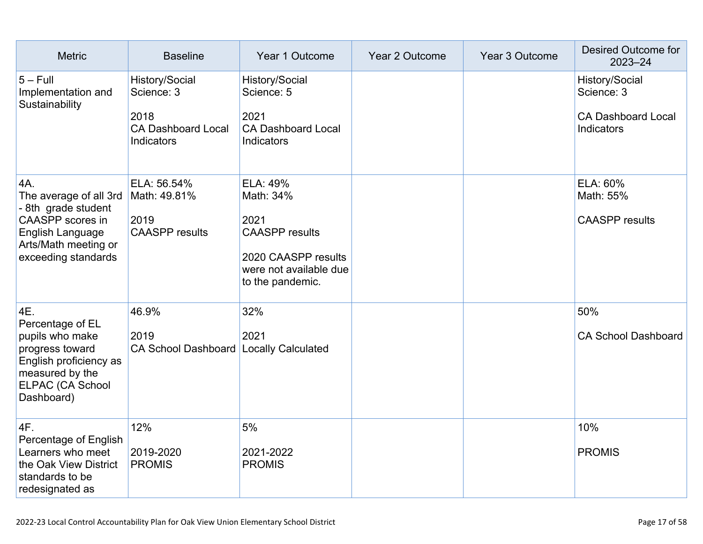| <b>Metric</b>                                                                                                                                      | <b>Baseline</b>                                                                        | Year 1 Outcome                                                                                                              | Year 2 Outcome | Year 3 Outcome | Desired Outcome for<br>$2023 - 24$                                      |
|----------------------------------------------------------------------------------------------------------------------------------------------------|----------------------------------------------------------------------------------------|-----------------------------------------------------------------------------------------------------------------------------|----------------|----------------|-------------------------------------------------------------------------|
| $5 - Full$<br>Implementation and<br>Sustainability                                                                                                 | History/Social<br>Science: 3<br>2018<br><b>CA Dashboard Local</b><br><b>Indicators</b> | History/Social<br>Science: 5<br>2021<br><b>CA Dashboard Local</b><br>Indicators                                             |                |                | History/Social<br>Science: 3<br><b>CA Dashboard Local</b><br>Indicators |
| 4A.<br>The average of all 3rd<br>- 8th grade student<br><b>CAASPP</b> scores in<br>English Language<br>Arts/Math meeting or<br>exceeding standards | ELA: 56.54%<br>Math: 49.81%<br>2019<br><b>CAASPP</b> results                           | ELA: 49%<br>Math: 34%<br>2021<br><b>CAASPP</b> results<br>2020 CAASPP results<br>were not available due<br>to the pandemic. |                |                | ELA: 60%<br>Math: 55%<br><b>CAASPP</b> results                          |
| 4E.<br>Percentage of EL<br>pupils who make<br>progress toward<br>English proficiency as<br>measured by the<br>ELPAC (CA School<br>Dashboard)       | 46.9%<br>2019<br>CA School Dashboard Locally Calculated                                | 32%<br>2021                                                                                                                 |                |                | 50%<br><b>CA School Dashboard</b>                                       |
| 4F.<br>Percentage of English<br>Learners who meet<br>the Oak View District<br>standards to be<br>redesignated as                                   | 12%<br>2019-2020<br><b>PROMIS</b>                                                      | 5%<br>2021-2022<br><b>PROMIS</b>                                                                                            |                |                | 10%<br><b>PROMIS</b>                                                    |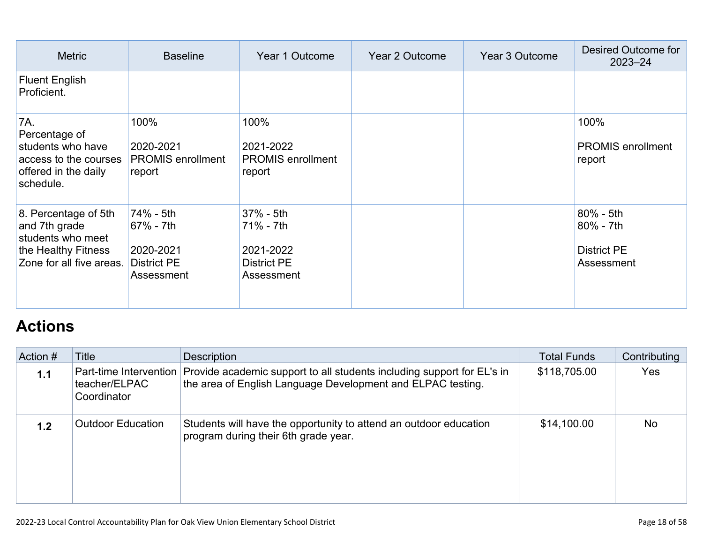| <b>Metric</b>                                                                                                 | <b>Baseline</b>                                                         | Year 1 Outcome                                                          | Year 2 Outcome | Year 3 Outcome | Desired Outcome for<br>$2023 - 24$                            |
|---------------------------------------------------------------------------------------------------------------|-------------------------------------------------------------------------|-------------------------------------------------------------------------|----------------|----------------|---------------------------------------------------------------|
| <b>Fluent English</b><br>Proficient.                                                                          |                                                                         |                                                                         |                |                |                                                               |
| 7A.<br>Percentage of<br>students who have<br>access to the courses<br>offered in the daily<br>schedule.       | 100%<br>2020-2021<br><b>PROMIS</b> enrollment<br>report                 | 100%<br>2021-2022<br><b>PROMIS</b> enrollment<br>report                 |                |                | 100%<br><b>PROMIS</b> enrollment<br>report                    |
| 8. Percentage of 5th<br>and 7th grade<br>students who meet<br>the Healthy Fitness<br>Zone for all five areas. | 74% - 5th<br>67% - 7th<br>2020-2021<br><b>District PE</b><br>Assessment | 37% - 5th<br>71% - 7th<br>2021-2022<br><b>District PE</b><br>Assessment |                |                | $80\% - 5th$<br>80% - 7th<br><b>District PE</b><br>Assessment |

## **[Actions](http://www.doc-tracking.com/screenshots/22LCAP/Instructions/22LCAPInstructions.htm#actions)**

| Action # | Title                                                  | <b>Description</b>                                                                                                                    | <b>Total Funds</b> | Contributing |
|----------|--------------------------------------------------------|---------------------------------------------------------------------------------------------------------------------------------------|--------------------|--------------|
| 1.1      | Part-time Intervention<br>teacher/ELPAC<br>Coordinator | Provide academic support to all students including support for EL's in<br>the area of English Language Development and ELPAC testing. | \$118,705.00       | <b>Yes</b>   |
| 1.2      | <b>Outdoor Education</b>                               | Students will have the opportunity to attend an outdoor education<br>program during their 6th grade year.                             | \$14,100.00        | <b>No</b>    |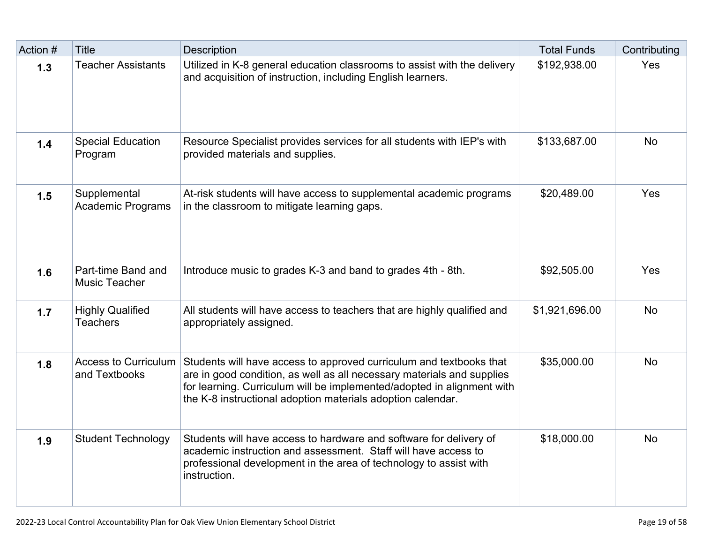| Action # | <b>Title</b>                                 | Description                                                                                                                                                                                                                                                                            | <b>Total Funds</b> | Contributing |
|----------|----------------------------------------------|----------------------------------------------------------------------------------------------------------------------------------------------------------------------------------------------------------------------------------------------------------------------------------------|--------------------|--------------|
| 1.3      | <b>Teacher Assistants</b>                    | Utilized in K-8 general education classrooms to assist with the delivery<br>and acquisition of instruction, including English learners.                                                                                                                                                | \$192,938.00       | Yes          |
| 1.4      | <b>Special Education</b><br>Program          | Resource Specialist provides services for all students with IEP's with<br>provided materials and supplies.                                                                                                                                                                             | \$133,687.00       | <b>No</b>    |
| 1.5      | Supplemental<br><b>Academic Programs</b>     | At-risk students will have access to supplemental academic programs<br>in the classroom to mitigate learning gaps.                                                                                                                                                                     | \$20,489.00        | Yes          |
| 1.6      | Part-time Band and<br>Music Teacher          | Introduce music to grades K-3 and band to grades 4th - 8th.                                                                                                                                                                                                                            | \$92,505.00        | Yes          |
| 1.7      | <b>Highly Qualified</b><br><b>Teachers</b>   | All students will have access to teachers that are highly qualified and<br>appropriately assigned.                                                                                                                                                                                     | \$1,921,696.00     | <b>No</b>    |
| 1.8      | <b>Access to Curriculum</b><br>and Textbooks | Students will have access to approved curriculum and textbooks that<br>are in good condition, as well as all necessary materials and supplies<br>for learning. Curriculum will be implemented/adopted in alignment with<br>the K-8 instructional adoption materials adoption calendar. | \$35,000.00        | <b>No</b>    |
| 1.9      | <b>Student Technology</b>                    | Students will have access to hardware and software for delivery of<br>academic instruction and assessment. Staff will have access to<br>professional development in the area of technology to assist with<br>instruction.                                                              | \$18,000.00        | <b>No</b>    |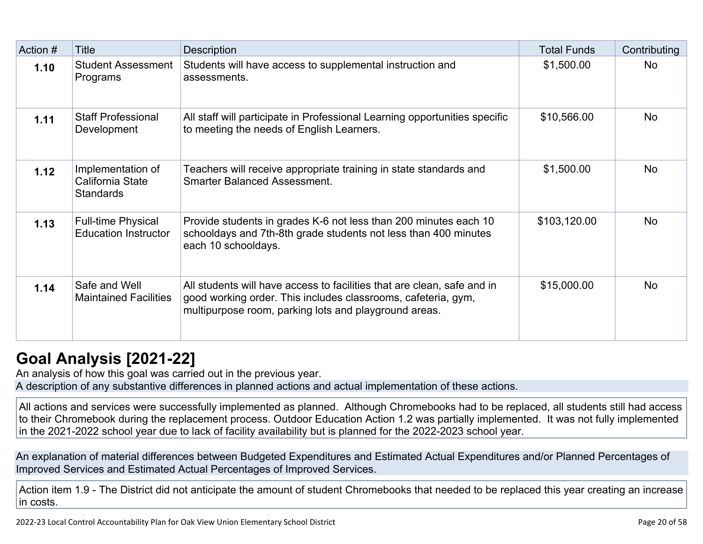| Action # | <b>Title</b>                                              | <b>Description</b>                                                                                                                                                                                | <b>Total Funds</b> | Contributing |
|----------|-----------------------------------------------------------|---------------------------------------------------------------------------------------------------------------------------------------------------------------------------------------------------|--------------------|--------------|
| 1.10     | <b>Student Assessment</b><br>Programs                     | Students will have access to supplemental instruction and<br>assessments.                                                                                                                         | \$1,500.00         | <b>No</b>    |
| 1.11     | <b>Staff Professional</b><br>Development                  | All staff will participate in Professional Learning opportunities specific<br>to meeting the needs of English Learners.                                                                           | \$10,566.00        | <b>No</b>    |
| 1.12     | Implementation of<br>California State<br><b>Standards</b> | Teachers will receive appropriate training in state standards and<br><b>Smarter Balanced Assessment.</b>                                                                                          | \$1,500.00         | <b>No</b>    |
| 1.13     | <b>Full-time Physical</b><br><b>Education Instructor</b>  | Provide students in grades K-6 not less than 200 minutes each 10<br>schooldays and 7th-8th grade students not less than 400 minutes<br>each 10 schooldays.                                        | \$103,120.00       | <b>No</b>    |
| 1.14     | Safe and Well<br><b>Maintained Facilities</b>             | All students will have access to facilities that are clean, safe and in<br>good working order. This includes classrooms, cafeteria, gym,<br>multipurpose room, parking lots and playground areas. | \$15,000.00        | <b>No</b>    |

## **[Goal Analysis \[2021-22\]](http://www.doc-tracking.com/screenshots/22LCAP/Instructions/22LCAPInstructions.htm#GoalAnalysis)**

An analysis of how this goal was carried out in the previous year. A description of any substantive differences in planned actions and actual implementation of these actions.

All actions and services were successfully implemented as planned. Although Chromebooks had to be replaced, all students still had access to their Chromebook during the replacement process. Outdoor Education Action 1.2 was partially implemented. It was not fully implemented in the 2021-2022 school year due to lack of facility availability but is planned for the 2022-2023 school year.

An explanation of material differences between Budgeted Expenditures and Estimated Actual Expenditures and/or Planned Percentages of Improved Services and Estimated Actual Percentages of Improved Services.

Action item 1.9 - The District did not anticipate the amount of student Chromebooks that needed to be replaced this year creating an increase in costs.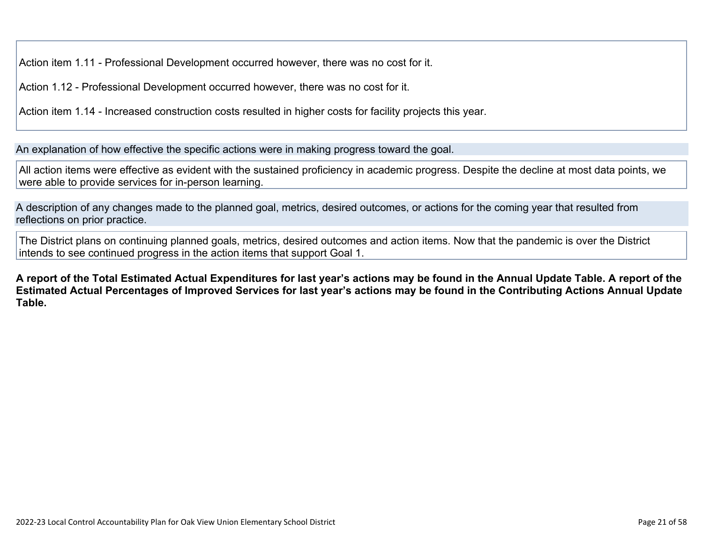Action item 1.11 - Professional Development occurred however, there was no cost for it.

Action 1.12 - Professional Development occurred however, there was no cost for it.

Action item 1.14 - Increased construction costs resulted in higher costs for facility projects this year.

An explanation of how effective the specific actions were in making progress toward the goal.

All action items were effective as evident with the sustained proficiency in academic progress. Despite the decline at most data points, we were able to provide services for in-person learning.

A description of any changes made to the planned goal, metrics, desired outcomes, or actions for the coming year that resulted from reflections on prior practice.

The District plans on continuing planned goals, metrics, desired outcomes and action items. Now that the pandemic is over the District intends to see continued progress in the action items that support Goal 1.

**A report of the Total Estimated Actual Expenditures for last year's actions may be found in the Annual Update Table. A report of the Estimated Actual Percentages of Improved Services for last year's actions may be found in the Contributing Actions Annual Update Table.**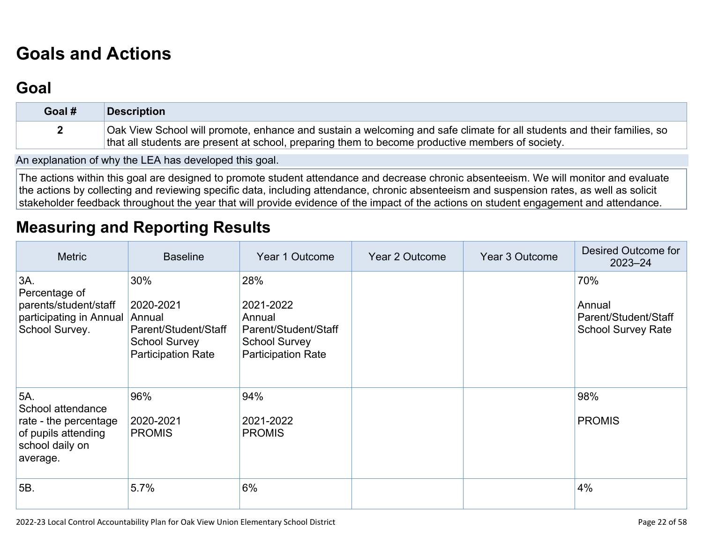# **[Goals and Actions](http://www.doc-tracking.com/screenshots/22LCAP/Instructions/22LCAPInstructions.htm#GoalsandActions)**

## **[Goal](http://www.doc-tracking.com/screenshots/22LCAP/Instructions/22LCAPInstructions.htm#goalDescription)**

| Goal # | <b>Description</b>                                                                                                                                                                                                         |
|--------|----------------------------------------------------------------------------------------------------------------------------------------------------------------------------------------------------------------------------|
|        | Oak View School will promote, enhance and sustain a welcoming and safe climate for all students and their families, so<br>that all students are present at school, preparing them to become productive members of society. |

An explanation of why the LEA has developed this goal.

The actions within this goal are designed to promote student attendance and decrease chronic absenteeism. We will monitor and evaluate the actions by collecting and reviewing specific data, including attendance, chronic absenteeism and suspension rates, as well as solicit stakeholder feedback throughout the year that will provide evidence of the impact of the actions on student engagement and attendance.

### **[Measuring and Reporting Results](http://www.doc-tracking.com/screenshots/22LCAP/Instructions/22LCAPInstructions.htm#MeasuringandReportingResults)**

| <b>Metric</b>                                                                                           | <b>Baseline</b>                                                                                         | Year 1 Outcome                                                                                          | Year 2 Outcome | Year 3 Outcome | Desired Outcome for<br>$2023 - 24$                                 |
|---------------------------------------------------------------------------------------------------------|---------------------------------------------------------------------------------------------------------|---------------------------------------------------------------------------------------------------------|----------------|----------------|--------------------------------------------------------------------|
| 3A.<br>Percentage of<br>parents/student/staff<br>participating in Annual<br>School Survey.              | 30%<br>2020-2021<br>Annual<br>Parent/Student/Staff<br><b>School Survey</b><br><b>Participation Rate</b> | 28%<br>2021-2022<br>Annual<br>Parent/Student/Staff<br><b>School Survey</b><br><b>Participation Rate</b> |                |                | 70%<br>Annual<br>Parent/Student/Staff<br><b>School Survey Rate</b> |
| 5A.<br>School attendance<br>rate - the percentage<br>of pupils attending<br>school daily on<br>average. | 96%<br>2020-2021<br><b>PROMIS</b>                                                                       | 94%<br>2021-2022<br><b>PROMIS</b>                                                                       |                |                | 98%<br><b>PROMIS</b>                                               |
| 5B.                                                                                                     | 5.7%                                                                                                    | 6%                                                                                                      |                |                | 4%                                                                 |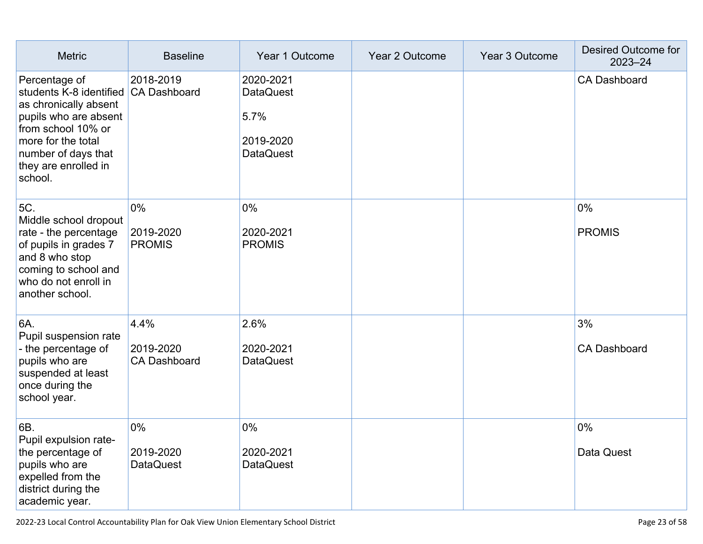| <b>Metric</b>                                                                                                                                                                                    | <b>Baseline</b>                          | Year 1 Outcome                                                         | Year 2 Outcome | Year 3 Outcome | Desired Outcome for<br>$2023 - 24$ |
|--------------------------------------------------------------------------------------------------------------------------------------------------------------------------------------------------|------------------------------------------|------------------------------------------------------------------------|----------------|----------------|------------------------------------|
| Percentage of<br>students K-8 identified<br>as chronically absent<br>pupils who are absent<br>from school 10% or<br>more for the total<br>number of days that<br>they are enrolled in<br>school. | 2018-2019<br><b>CA Dashboard</b>         | 2020-2021<br><b>DataQuest</b><br>5.7%<br>2019-2020<br><b>DataQuest</b> |                |                | <b>CA Dashboard</b>                |
| 5C.<br>Middle school dropout<br>rate - the percentage<br>of pupils in grades 7<br>and 8 who stop<br>coming to school and<br>who do not enroll in<br>another school.                              | 0%<br>2019-2020<br><b>PROMIS</b>         | $0\%$<br>2020-2021<br><b>PROMIS</b>                                    |                |                | 0%<br><b>PROMIS</b>                |
| 6A.<br>Pupil suspension rate<br>- the percentage of<br>pupils who are<br>suspended at least<br>once during the<br>school year.                                                                   | 4.4%<br>2019-2020<br><b>CA Dashboard</b> | 2.6%<br>2020-2021<br><b>DataQuest</b>                                  |                |                | 3%<br><b>CA Dashboard</b>          |
| 6B.<br>Pupil expulsion rate-<br>the percentage of<br>pupils who are<br>expelled from the<br>district during the<br>academic year.                                                                | 0%<br>2019-2020<br><b>DataQuest</b>      | 0%<br>2020-2021<br><b>DataQuest</b>                                    |                |                | 0%<br>Data Quest                   |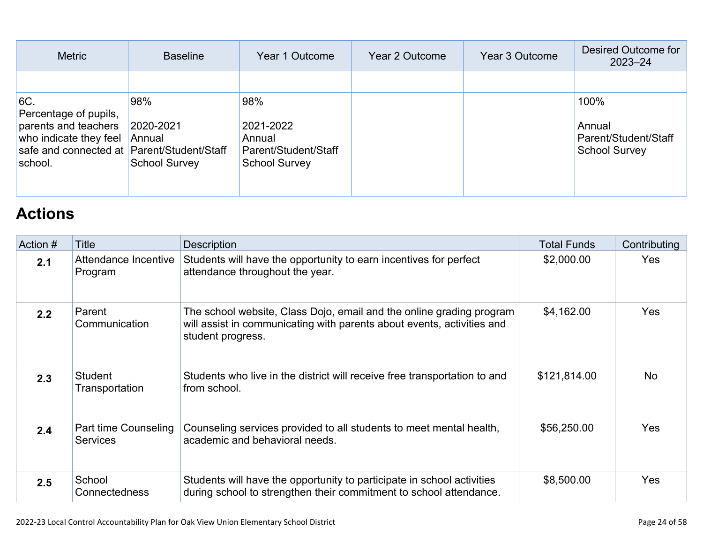| <b>Metric</b>                                                                                                                           | <b>Baseline</b>                                    | Year 1 Outcome                                                             | Year 2 Outcome | Year 3 Outcome | Desired Outcome for<br>$2023 - 24$                             |
|-----------------------------------------------------------------------------------------------------------------------------------------|----------------------------------------------------|----------------------------------------------------------------------------|----------------|----------------|----------------------------------------------------------------|
|                                                                                                                                         |                                                    |                                                                            |                |                |                                                                |
| 6C.<br>Percentage of pupils,<br>parents and teachers<br>who indicate they feel<br>safe and connected at Parent/Student/Staff<br>school. | 98%<br>2020-2021<br>Annual<br><b>School Survey</b> | 98%<br>2021-2022<br>Annual<br>Parent/Student/Staff<br><b>School Survey</b> |                |                | 100%<br>Annual<br>Parent/Student/Staff<br><b>School Survey</b> |

## **[Actions](http://www.doc-tracking.com/screenshots/22LCAP/Instructions/22LCAPInstructions.htm#actions)**

| Action # | Title                                   | <b>Description</b>                                                                                                                                                  | <b>Total Funds</b> | Contributing |
|----------|-----------------------------------------|---------------------------------------------------------------------------------------------------------------------------------------------------------------------|--------------------|--------------|
| 2.1      | Attendance Incentive<br>Program         | Students will have the opportunity to earn incentives for perfect<br>attendance throughout the year.                                                                | \$2,000.00         | <b>Yes</b>   |
| 2.2      | Parent<br>Communication                 | The school website, Class Dojo, email and the online grading program<br>will assist in communicating with parents about events, activities and<br>student progress. | \$4,162.00         | Yes          |
| 2.3      | Student<br>Transportation               | Students who live in the district will receive free transportation to and<br>from school.                                                                           | \$121,814.00       | <b>No</b>    |
| 2.4      | Part time Counseling<br><b>Services</b> | Counseling services provided to all students to meet mental health,<br>academic and behavioral needs.                                                               | \$56,250.00        | Yes          |
| 2.5      | School<br><b>Connectedness</b>          | Students will have the opportunity to participate in school activities<br>during school to strengthen their commitment to school attendance.                        | \$8,500.00         | Yes          |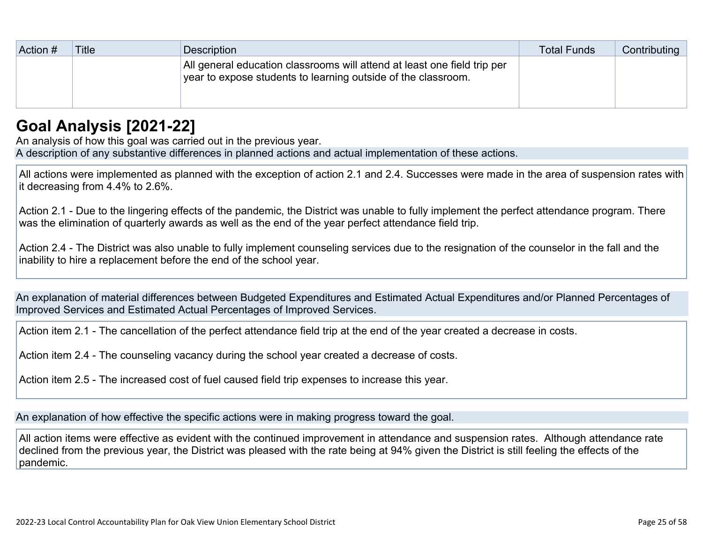| Action # | <b>Title</b> | Description                                                                                                                               | <b>Total Funds</b> | Contributing |
|----------|--------------|-------------------------------------------------------------------------------------------------------------------------------------------|--------------------|--------------|
|          |              | All general education classrooms will attend at least one field trip per<br>year to expose students to learning outside of the classroom. |                    |              |

## **[Goal Analysis \[2021-22\]](http://www.doc-tracking.com/screenshots/22LCAP/Instructions/22LCAPInstructions.htm#GoalAnalysis)**

An analysis of how this goal was carried out in the previous year. A description of any substantive differences in planned actions and actual implementation of these actions.

All actions were implemented as planned with the exception of action 2.1 and 2.4. Successes were made in the area of suspension rates with it decreasing from 4.4% to 2.6%.

Action 2.1 - Due to the lingering effects of the pandemic, the District was unable to fully implement the perfect attendance program. There was the elimination of quarterly awards as well as the end of the year perfect attendance field trip.

Action 2.4 - The District was also unable to fully implement counseling services due to the resignation of the counselor in the fall and the inability to hire a replacement before the end of the school year.

An explanation of material differences between Budgeted Expenditures and Estimated Actual Expenditures and/or Planned Percentages of Improved Services and Estimated Actual Percentages of Improved Services.

Action item 2.1 - The cancellation of the perfect attendance field trip at the end of the year created a decrease in costs.

Action item 2.4 - The counseling vacancy during the school year created a decrease of costs.

Action item 2.5 - The increased cost of fuel caused field trip expenses to increase this year.

An explanation of how effective the specific actions were in making progress toward the goal.

All action items were effective as evident with the continued improvement in attendance and suspension rates. Although attendance rate declined from the previous year, the District was pleased with the rate being at 94% given the District is still feeling the effects of the pandemic.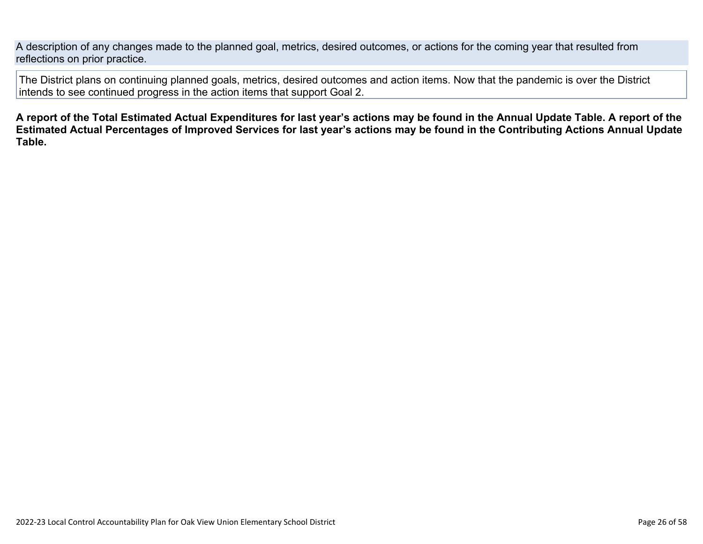A description of any changes made to the planned goal, metrics, desired outcomes, or actions for the coming year that resulted from reflections on prior practice.

The District plans on continuing planned goals, metrics, desired outcomes and action items. Now that the pandemic is over the District intends to see continued progress in the action items that support Goal 2.

**A report of the Total Estimated Actual Expenditures for last year's actions may be found in the Annual Update Table. A report of the Estimated Actual Percentages of Improved Services for last year's actions may be found in the Contributing Actions Annual Update Table.**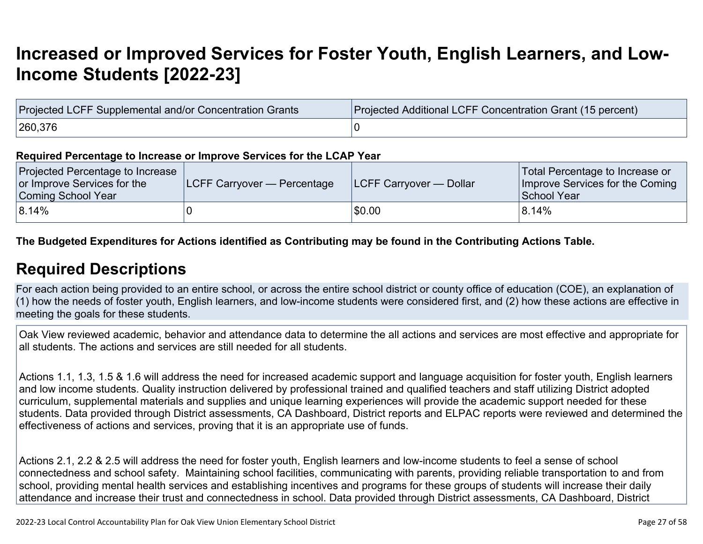## **[Increased or Improved Services for Foster Youth, English Learners, and Low-](http://www.doc-tracking.com/screenshots/22LCAP/Instructions/22LCAPInstructions.htm#IncreasedImprovedServices)[Income Students \[2022-23\]](http://www.doc-tracking.com/screenshots/22LCAP/Instructions/22LCAPInstructions.htm#IncreasedImprovedServices)**

| Projected LCFF Supplemental and/or Concentration Grants | Projected Additional LCFF Concentration Grant (15 percent) |
|---------------------------------------------------------|------------------------------------------------------------|
| 260,376                                                 |                                                            |

#### **Required Percentage to Increase or Improve Services for the LCAP Year**

| Projected Percentage to Increase<br>or Improve Services for the<br>Coming School Year | <b>ILCFF Carryover — Percentage</b> | <b>ILCFF Carryover — Dollar</b> | Total Percentage to Increase or<br>Improve Services for the Coming<br>School Year |
|---------------------------------------------------------------------------------------|-------------------------------------|---------------------------------|-----------------------------------------------------------------------------------|
| $ 8.14\%$                                                                             |                                     | \$0.00                          | 8.14%                                                                             |

**The Budgeted Expenditures for Actions identified as Contributing may be found in the Contributing Actions Table.**

### **[Required Descriptions](http://www.doc-tracking.com/screenshots/22LCAP/Instructions/22LCAPInstructions.htm#RequiredDescriptions)**

For each action being provided to an entire school, or across the entire school district or county office of education (COE), an explanation of (1) how the needs of foster youth, English learners, and low-income students were considered first, and (2) how these actions are effective in meeting the goals for these students.

Oak View reviewed academic, behavior and attendance data to determine the all actions and services are most effective and appropriate for all students. The actions and services are still needed for all students.

Actions 1.1, 1.3, 1.5 & 1.6 will address the need for increased academic support and language acquisition for foster youth, English learners and low income students. Quality instruction delivered by professional trained and qualified teachers and staff utilizing District adopted curriculum, supplemental materials and supplies and unique learning experiences will provide the academic support needed for these students. Data provided through District assessments, CA Dashboard, District reports and ELPAC reports were reviewed and determined the effectiveness of actions and services, proving that it is an appropriate use of funds.

Actions 2.1, 2.2 & 2.5 will address the need for foster youth, English learners and low-income students to feel a sense of school connectedness and school safety. Maintaining school facilities, communicating with parents, providing reliable transportation to and from school, providing mental health services and establishing incentives and programs for these groups of students will increase their daily attendance and increase their trust and connectedness in school. Data provided through District assessments, CA Dashboard, District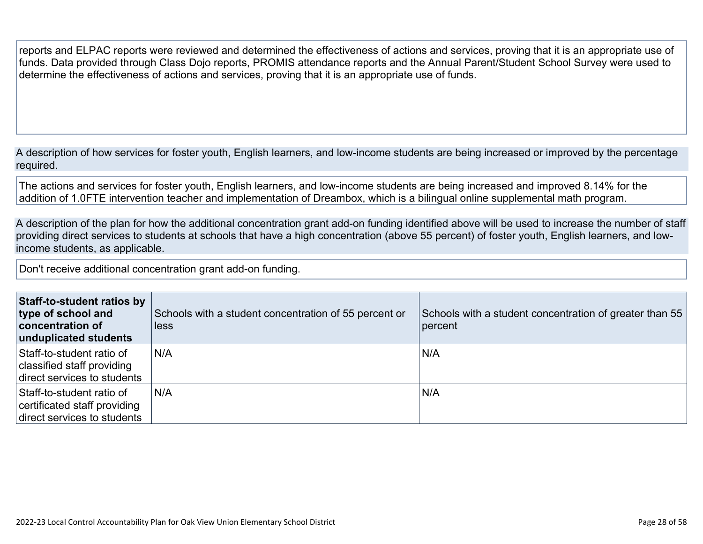reports and ELPAC reports were reviewed and determined the effectiveness of actions and services, proving that it is an appropriate use of funds. Data provided through Class Dojo reports, PROMIS attendance reports and the Annual Parent/Student School Survey were used to determine the effectiveness of actions and services, proving that it is an appropriate use of funds.

A description of how services for foster youth, English learners, and low-income students are being increased or improved by the percentage required.

The actions and services for foster youth, English learners, and low-income students are being increased and improved 8.14% for the addition of 1.0FTE intervention teacher and implementation of Dreambox, which is a bilingual online supplemental math program.

A description of the plan for how the additional concentration grant add-on funding identified above will be used to increase the number of staff providing direct services to students at schools that have a high concentration (above 55 percent) of foster youth, English learners, and lowincome students, as applicable.

Don't receive additional concentration grant add-on funding.

| Staff-to-student ratios by<br>type of school and<br><b>concentration of</b><br>unduplicated students | Schools with a student concentration of 55 percent or<br><b>less</b> | Schools with a student concentration of greater than 55<br>percent |
|------------------------------------------------------------------------------------------------------|----------------------------------------------------------------------|--------------------------------------------------------------------|
| Staff-to-student ratio of<br>classified staff providing<br>direct services to students               | N/A                                                                  | N/A                                                                |
| Staff-to-student ratio of<br>certificated staff providing<br>direct services to students             | N/A                                                                  | N/A                                                                |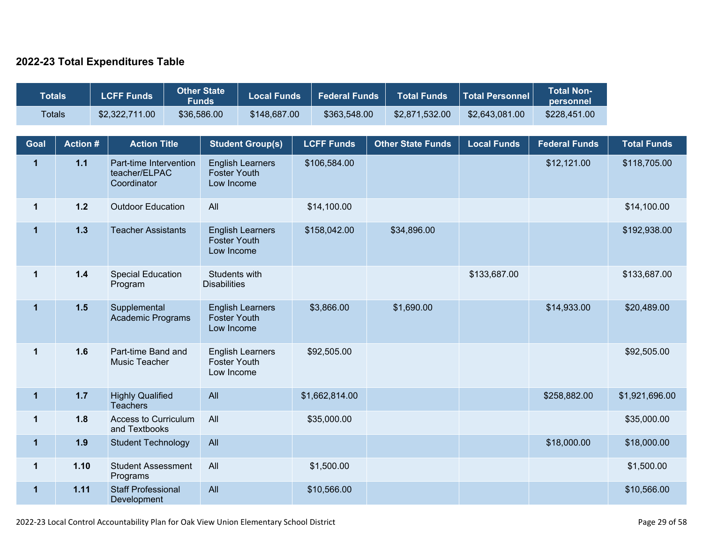### **2022-23 Total Expenditures Table**

| <b>Totals</b> |                | <b>LCFF Funds</b>                                      | <b>Other State</b><br><b>Funds</b> |                                                              | <b>Local Funds</b>      | <b>Federal Funds</b> | <b>Total Funds</b>       | <b>Total Personnel</b> | <b>Total Non-</b><br>personnel |                    |
|---------------|----------------|--------------------------------------------------------|------------------------------------|--------------------------------------------------------------|-------------------------|----------------------|--------------------------|------------------------|--------------------------------|--------------------|
| <b>Totals</b> |                | \$2,322,711.00                                         | \$36,586.00                        |                                                              | \$148,687.00            | \$363,548.00         | \$2,871,532.00           | \$2,643,081.00         | \$228,451.00                   |                    |
| Goal          | <b>Action#</b> | <b>Action Title</b>                                    |                                    |                                                              | <b>Student Group(s)</b> | <b>LCFF Funds</b>    | <b>Other State Funds</b> | <b>Local Funds</b>     | <b>Federal Funds</b>           | <b>Total Funds</b> |
| $\mathbf{1}$  | $1.1$          | Part-time Intervention<br>teacher/ELPAC<br>Coordinator |                                    | <b>English Learners</b><br><b>Foster Youth</b><br>Low Income |                         | \$106,584.00         |                          |                        | \$12,121.00                    | \$118,705.00       |
| $\mathbf 1$   | $1.2$          | <b>Outdoor Education</b>                               |                                    | All                                                          |                         | \$14,100.00          |                          |                        |                                | \$14,100.00        |
| $\mathbf{1}$  | 1.3            | <b>Teacher Assistants</b>                              |                                    | <b>English Learners</b><br><b>Foster Youth</b><br>Low Income |                         | \$158,042.00         | \$34,896.00              |                        |                                | \$192,938.00       |
| $\mathbf{1}$  | $1.4$          | <b>Special Education</b><br>Program                    |                                    | Students with<br><b>Disabilities</b>                         |                         |                      |                          | \$133,687.00           |                                | \$133,687.00       |
| $\mathbf{1}$  | $1.5$          | Supplemental<br><b>Academic Programs</b>               |                                    | <b>English Learners</b><br><b>Foster Youth</b><br>Low Income |                         | \$3,866.00           | \$1,690.00               |                        | \$14,933.00                    | \$20,489.00        |
| $\mathbf 1$   | 1.6            | Part-time Band and<br>Music Teacher                    |                                    | <b>English Learners</b><br><b>Foster Youth</b><br>Low Income |                         | \$92,505.00          |                          |                        |                                | \$92,505.00        |
| $\mathbf{1}$  | $1.7$          | <b>Highly Qualified</b><br><b>Teachers</b>             |                                    | All                                                          |                         | \$1,662,814.00       |                          |                        | \$258,882.00                   | \$1,921,696.00     |
| $\mathbf 1$   | 1.8            | <b>Access to Curriculum</b><br>and Textbooks           |                                    | All                                                          |                         | \$35,000.00          |                          |                        |                                | \$35,000.00        |
| $\mathbf 1$   | 1.9            | <b>Student Technology</b>                              |                                    | All                                                          |                         |                      |                          |                        | \$18,000.00                    | \$18,000.00        |
| $\mathbf{1}$  | 1.10           | <b>Student Assessment</b><br>Programs                  |                                    | All                                                          |                         | \$1,500.00           |                          |                        |                                | \$1,500.00         |
| $\mathbf{1}$  | 1.11           | <b>Staff Professional</b><br>Development               |                                    | All                                                          |                         | \$10,566.00          |                          |                        |                                | \$10,566.00        |

2022-23 Local Control Accountability Plan for Oak View Union Elementary School District Page 29 of 58 and 2012-23 Local Control Accountability Plan for Oak View Union Elementary School District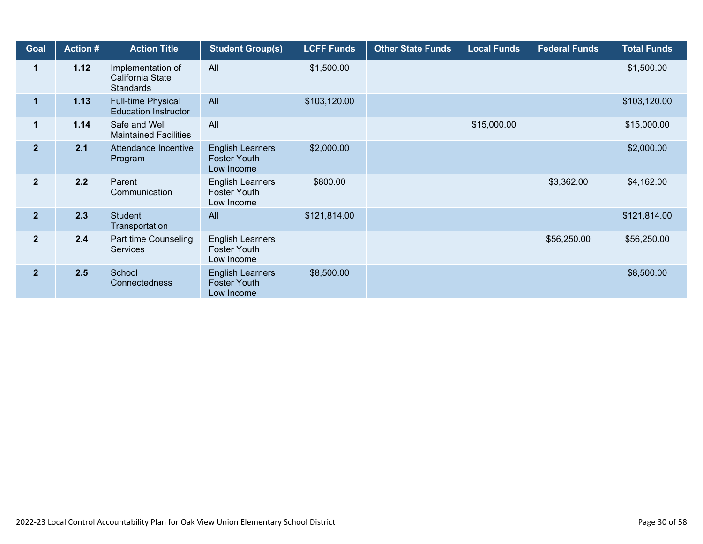| Goal           | <b>Action #</b> | <b>Action Title</b>                                       | <b>Student Group(s)</b>                                      | <b>LCFF Funds</b> | <b>Other State Funds</b> | <b>Local Funds</b> | <b>Federal Funds</b> | <b>Total Funds</b> |
|----------------|-----------------|-----------------------------------------------------------|--------------------------------------------------------------|-------------------|--------------------------|--------------------|----------------------|--------------------|
| $\mathbf 1$    | 1.12            | Implementation of<br>California State<br><b>Standards</b> | All                                                          | \$1,500.00        |                          |                    |                      | \$1,500.00         |
| 1              | 1.13            | Full-time Physical<br><b>Education Instructor</b>         | All                                                          | \$103,120.00      |                          |                    |                      | \$103,120.00       |
| $\mathbf 1$    | 1.14            | Safe and Well<br><b>Maintained Facilities</b>             | All                                                          |                   |                          | \$15,000.00        |                      | \$15,000.00        |
| $\overline{2}$ | 2.1             | Attendance Incentive<br>Program                           | <b>English Learners</b><br><b>Foster Youth</b><br>Low Income | \$2,000.00        |                          |                    |                      | \$2,000.00         |
| $\mathbf{2}$   | 2.2             | Parent<br>Communication                                   | <b>English Learners</b><br><b>Foster Youth</b><br>Low Income | \$800.00          |                          |                    | \$3,362.00           | \$4,162.00         |
| $\overline{2}$ | 2.3             | Student<br>Transportation                                 | All                                                          | \$121,814.00      |                          |                    |                      | \$121,814.00       |
| $\mathbf{2}$   | 2.4             | Part time Counseling<br><b>Services</b>                   | <b>English Learners</b><br><b>Foster Youth</b><br>Low Income |                   |                          |                    | \$56,250.00          | \$56,250.00        |
| $\mathbf{2}$   | 2.5             | School<br>Connectedness                                   | <b>English Learners</b><br><b>Foster Youth</b><br>Low Income | \$8,500.00        |                          |                    |                      | \$8,500.00         |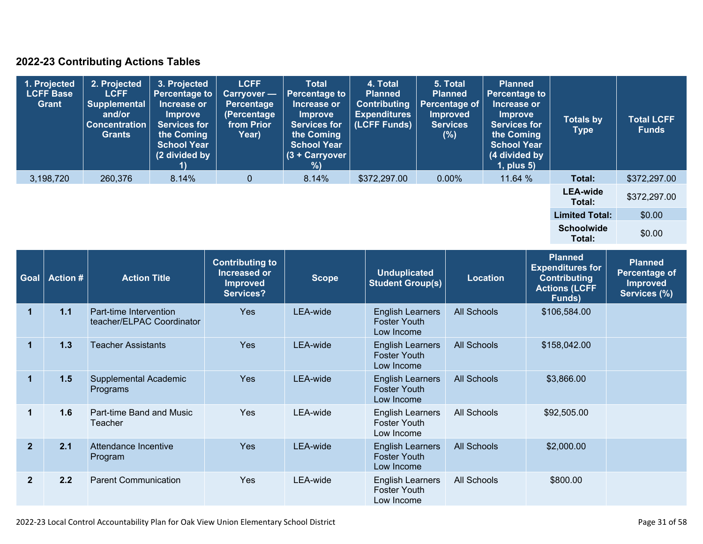### **2022-23 Contributing Actions Tables**

| 1. Projected<br><b>LCFF Base</b><br>Grant | 2. Projected<br><b>LCFF</b><br><b>Supplemental</b><br>and/or<br><b>Concentration</b><br><b>Grants</b> | 3. Projected<br><b>Percentage to</b><br>Increase or<br><b>Improve</b><br><b>Services for</b><br>the Coming<br><b>School Year</b><br>(2 divided by | <b>LCFF</b><br><b>Carryover</b> -<br>Percentage<br>(Percentage<br>from Prior<br>Year) | <b>Total</b><br>Percentage to<br>Increase or<br><b>Improve</b><br><b>Services for</b><br>the Coming<br><b>School Year</b><br>$(3 +$ Carryover<br>%) | 4. Total<br><b>Planned</b><br><b>Contributing</b><br><b>Expenditures</b><br>(LCFF Funds) | 5. Total<br><b>Planned</b><br>Percentage of<br><b>Improved</b><br><b>Services</b><br>(%) | <b>Planned</b><br><b>Percentage to</b><br>Increase or<br><b>Improve</b><br><b>Services for</b><br>the Coming<br><b>School Year</b><br>(4 divided by<br>$1$ , plus $5$ ) | <b>Totals by</b><br>Type    | <b>Total LCFF</b><br><b>Funds</b> |
|-------------------------------------------|-------------------------------------------------------------------------------------------------------|---------------------------------------------------------------------------------------------------------------------------------------------------|---------------------------------------------------------------------------------------|-----------------------------------------------------------------------------------------------------------------------------------------------------|------------------------------------------------------------------------------------------|------------------------------------------------------------------------------------------|-------------------------------------------------------------------------------------------------------------------------------------------------------------------------|-----------------------------|-----------------------------------|
| 3,198,720                                 | 260,376                                                                                               | 8.14%                                                                                                                                             | $\mathbf{0}$                                                                          | 8.14%                                                                                                                                               | \$372,297.00                                                                             | 0.00%                                                                                    | 11.64 %                                                                                                                                                                 | Total:                      | \$372,297.00                      |
|                                           |                                                                                                       |                                                                                                                                                   |                                                                                       |                                                                                                                                                     |                                                                                          |                                                                                          |                                                                                                                                                                         | <b>LEA-wide</b><br>Total:   | \$372,297.00                      |
|                                           |                                                                                                       |                                                                                                                                                   |                                                                                       |                                                                                                                                                     |                                                                                          |                                                                                          |                                                                                                                                                                         | <b>Limited Total:</b>       | \$0.00                            |
|                                           |                                                                                                       |                                                                                                                                                   |                                                                                       |                                                                                                                                                     |                                                                                          |                                                                                          |                                                                                                                                                                         | <b>Schoolwide</b><br>Total: | \$0.00                            |

| Goal                 | <b>Action #</b> | <b>Action Title</b>                                 | <b>Contributing to</b><br>Increased or<br><b>Improved</b><br>Services? | <b>Scope</b> | <b>Unduplicated</b><br><b>Student Group(s)</b>               | <b>Location</b>    | <b>Planned</b><br><b>Expenditures for</b><br><b>Contributing</b><br><b>Actions (LCFF</b><br>Funds) | <b>Planned</b><br>Percentage of<br><b>Improved</b><br>Services (%) |
|----------------------|-----------------|-----------------------------------------------------|------------------------------------------------------------------------|--------------|--------------------------------------------------------------|--------------------|----------------------------------------------------------------------------------------------------|--------------------------------------------------------------------|
| 1                    | 1.1             | Part-time Intervention<br>teacher/ELPAC Coordinator | <b>Yes</b>                                                             | LEA-wide     | <b>English Learners</b><br><b>Foster Youth</b><br>Low Income | <b>All Schools</b> | \$106,584.00                                                                                       |                                                                    |
| $\blacktriangleleft$ | 1.3             | <b>Teacher Assistants</b>                           | <b>Yes</b>                                                             | LEA-wide     | <b>English Learners</b><br><b>Foster Youth</b><br>Low Income | <b>All Schools</b> | \$158,042.00                                                                                       |                                                                    |
| 1                    | 1.5             | Supplemental Academic<br>Programs                   | <b>Yes</b>                                                             | LEA-wide     | <b>English Learners</b><br><b>Foster Youth</b><br>Low Income | <b>All Schools</b> | \$3,866.00                                                                                         |                                                                    |
| 1                    | 1.6             | Part-time Band and Music<br>Teacher                 | Yes                                                                    | LEA-wide     | <b>English Learners</b><br><b>Foster Youth</b><br>Low Income | All Schools        | \$92,505.00                                                                                        |                                                                    |
| $\mathbf{2}$         | 2.1             | Attendance Incentive<br>Program                     | Yes                                                                    | LEA-wide     | <b>English Learners</b><br><b>Foster Youth</b><br>Low Income | <b>All Schools</b> | \$2,000.00                                                                                         |                                                                    |
| $\overline{2}$       | 2.2             | <b>Parent Communication</b>                         | <b>Yes</b>                                                             | LEA-wide     | <b>English Learners</b><br><b>Foster Youth</b><br>Low Income | All Schools        | \$800.00                                                                                           |                                                                    |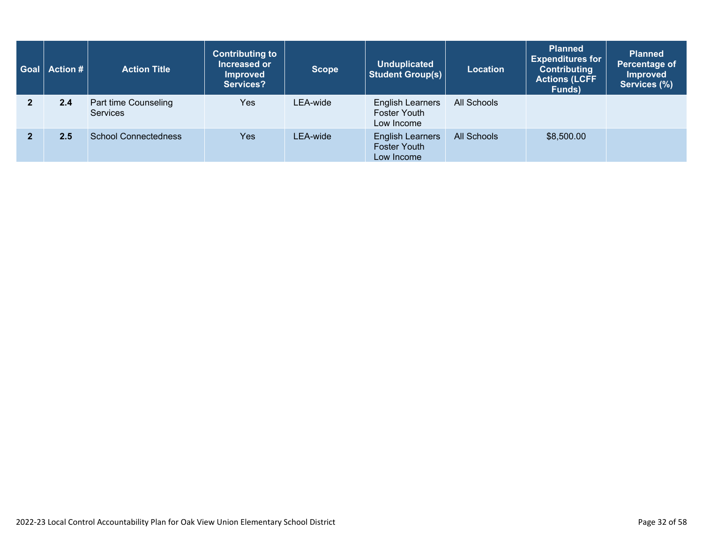| <b>Goal</b>   Action # $\vert$ | <b>Action Title</b>                     | <b>Contributing to</b><br>Increased or<br><b>Improved</b><br>Services? | <b>Scope</b> | <b>Unduplicated</b><br><b>Student Group(s)</b>               | <b>Location</b>    | <b>Planned</b><br><b>Expenditures for</b><br><b>Contributing</b><br><b>Actions (LCFF</b><br>Funds) | <b>Planned</b><br>Percentage of<br><b>Improved</b><br>Services (%) |
|--------------------------------|-----------------------------------------|------------------------------------------------------------------------|--------------|--------------------------------------------------------------|--------------------|----------------------------------------------------------------------------------------------------|--------------------------------------------------------------------|
| 2.4                            | Part time Counseling<br><b>Services</b> | Yes                                                                    | LEA-wide     | English Learners<br><b>Foster Youth</b><br>Low Income        | All Schools        |                                                                                                    |                                                                    |
| 2.5                            | <b>School Connectedness</b>             | <b>Yes</b>                                                             | LEA-wide     | <b>English Learners</b><br><b>Foster Youth</b><br>Low Income | <b>All Schools</b> | \$8,500.00                                                                                         |                                                                    |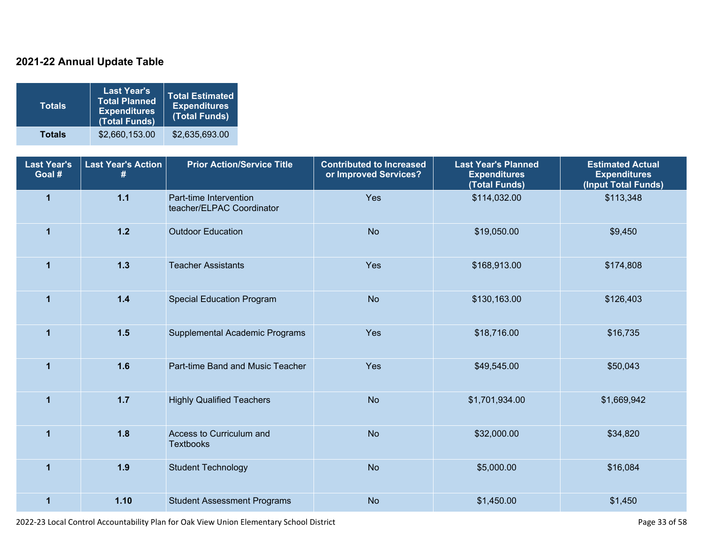### **2021-22 Annual Update Table**

| <b>Totals</b> | <b>Last Year's</b><br><b>Total Planned</b><br><b>Expenditures</b><br>(Total Funds) | <b>Total Estimated</b><br><b>Expenditures</b><br>(Total Funds) |
|---------------|------------------------------------------------------------------------------------|----------------------------------------------------------------|
| <b>Totals</b> | \$2,660,153.00                                                                     | \$2,635,693.00                                                 |

| <b>Last Year's</b><br>Goal # | <b>Last Year's Action</b><br># | <b>Prior Action/Service Title</b>                   | <b>Contributed to Increased</b><br>or Improved Services? | <b>Last Year's Planned</b><br><b>Expenditures</b><br>(Total Funds) | <b>Estimated Actual</b><br><b>Expenditures</b><br>(Input Total Funds) |
|------------------------------|--------------------------------|-----------------------------------------------------|----------------------------------------------------------|--------------------------------------------------------------------|-----------------------------------------------------------------------|
| $\overline{1}$               | $1.1$                          | Part-time Intervention<br>teacher/ELPAC Coordinator | Yes                                                      | \$114,032.00                                                       | \$113,348                                                             |
| $\mathbf{1}$                 | $1.2$                          | <b>Outdoor Education</b>                            | <b>No</b>                                                | \$19,050.00                                                        | \$9,450                                                               |
| $\overline{1}$               | 1.3                            | <b>Teacher Assistants</b>                           | Yes                                                      | \$168,913.00                                                       | \$174,808                                                             |
| $\mathbf{1}$                 | $1.4$                          | <b>Special Education Program</b>                    | <b>No</b>                                                | \$130,163.00                                                       | \$126,403                                                             |
| $\mathbf{1}$                 | 1.5                            | Supplemental Academic Programs                      | Yes                                                      | \$18,716.00                                                        | \$16,735                                                              |
| $\blacktriangleleft$         | 1.6                            | Part-time Band and Music Teacher                    | Yes                                                      | \$49,545.00                                                        | \$50,043                                                              |
| $\overline{1}$               | $1.7$                          | <b>Highly Qualified Teachers</b>                    | <b>No</b>                                                | \$1,701,934.00                                                     | \$1,669,942                                                           |
| $\overline{1}$               | 1.8                            | Access to Curriculum and<br><b>Textbooks</b>        | <b>No</b>                                                | \$32,000.00                                                        | \$34,820                                                              |
| $\overline{1}$               | 1.9                            | <b>Student Technology</b>                           | <b>No</b>                                                | \$5,000.00                                                         | \$16,084                                                              |
| $\overline{1}$               | 1.10                           | <b>Student Assessment Programs</b>                  | <b>No</b>                                                | \$1,450.00                                                         | \$1,450                                                               |

2022-23 Local Control Accountability Plan for Oak View Union Elementary School District Page 33 of 58 and 2022-23 Local Control Accountability Plan for Oak View Union Elementary School District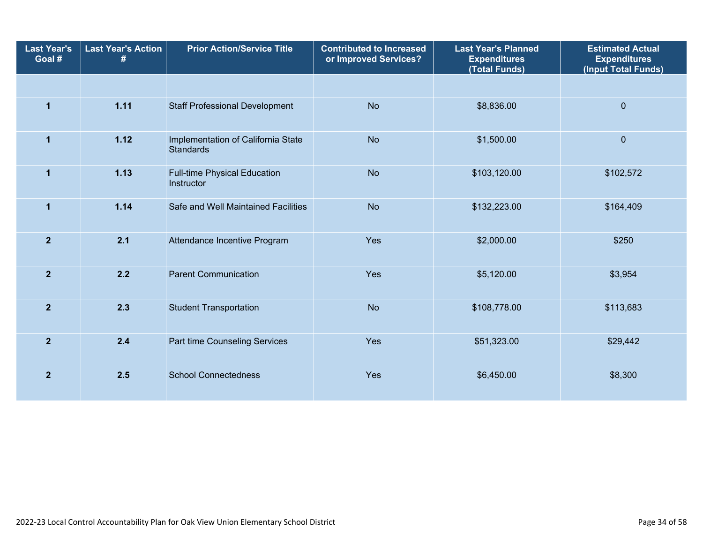| <b>Last Year's</b><br>Goal # | <b>Last Year's Action</b><br># | <b>Prior Action/Service Title</b>                      | <b>Contributed to Increased</b><br>or Improved Services? | <b>Last Year's Planned</b><br><b>Expenditures</b><br>(Total Funds) | <b>Estimated Actual</b><br><b>Expenditures</b><br>(Input Total Funds) |
|------------------------------|--------------------------------|--------------------------------------------------------|----------------------------------------------------------|--------------------------------------------------------------------|-----------------------------------------------------------------------|
|                              |                                |                                                        |                                                          |                                                                    |                                                                       |
| $\mathbf{1}$                 | 1.11                           | <b>Staff Professional Development</b>                  | <b>No</b>                                                | \$8,836.00                                                         | $\overline{0}$                                                        |
| $\mathbf{1}$                 | 1.12                           | Implementation of California State<br><b>Standards</b> | <b>No</b>                                                | \$1,500.00                                                         | $\mathbf 0$                                                           |
| $\mathbf{1}$                 | 1.13                           | <b>Full-time Physical Education</b><br>Instructor      | <b>No</b>                                                | \$103,120.00                                                       | \$102,572                                                             |
| $\mathbf{1}$                 | 1.14                           | Safe and Well Maintained Facilities                    | <b>No</b>                                                | \$132,223.00                                                       | \$164,409                                                             |
| $\mathbf{2}$                 | 2.1                            | Attendance Incentive Program                           | Yes                                                      | \$2,000.00                                                         | \$250                                                                 |
| $\overline{2}$               | 2.2                            | <b>Parent Communication</b>                            | Yes                                                      | \$5,120.00                                                         | \$3,954                                                               |
| $\mathbf{2}$                 | 2.3                            | <b>Student Transportation</b>                          | <b>No</b>                                                | \$108,778.00                                                       | \$113,683                                                             |
| $\overline{2}$               | 2.4                            | Part time Counseling Services                          | Yes                                                      | \$51,323.00                                                        | \$29,442                                                              |
| $\overline{2}$               | 2.5                            | <b>School Connectedness</b>                            | Yes                                                      | \$6,450.00                                                         | \$8,300                                                               |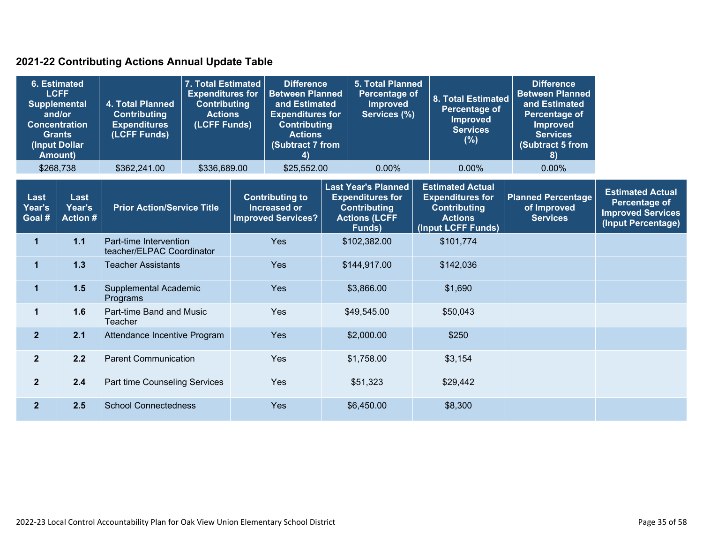### **2021-22 Contributing Actions Annual Update Table**

|                          | <b>6. Estimated</b><br><b>LCFF</b><br><b>Supplemental</b><br>and/or<br><b>Concentration</b><br><b>Grants</b><br>(Input Dollar<br><b>Amount)</b> | <b>4. Total Planned</b><br><b>Contributing</b><br><b>Expenditures</b><br>(LCFF Funds) | 7. Total Estimated<br><b>Expenditures for</b><br><b>Contributing</b><br><b>Actions</b><br>(LCFF Funds) |  | <b>Difference</b><br><b>Between Planned</b><br>and Estimated<br><b>Expenditures for</b><br><b>Contributing</b><br><b>Actions</b><br>(Subtract 7 from<br>4) |  | <b>5. Total Planned</b><br><b>Percentage of</b><br><b>Improved</b><br>Services (%) | <b>8. Total Estimated</b><br>Percentage of<br>Improved<br><b>Services</b><br>(%)<br>0.00%                      | <b>Difference</b><br><b>Between Planned</b><br>and Estimated<br>Percentage of<br><b>Improved</b><br><b>Services</b><br><b>Subtract 5 from</b><br>8) |                                                                                                                   |                                                             |                                                                                                   |
|--------------------------|-------------------------------------------------------------------------------------------------------------------------------------------------|---------------------------------------------------------------------------------------|--------------------------------------------------------------------------------------------------------|--|------------------------------------------------------------------------------------------------------------------------------------------------------------|--|------------------------------------------------------------------------------------|----------------------------------------------------------------------------------------------------------------|-----------------------------------------------------------------------------------------------------------------------------------------------------|-------------------------------------------------------------------------------------------------------------------|-------------------------------------------------------------|---------------------------------------------------------------------------------------------------|
| \$268,738                |                                                                                                                                                 | \$362,241.00                                                                          | \$336,689.00                                                                                           |  | \$25,552.00                                                                                                                                                |  | $0.00\%$                                                                           |                                                                                                                | $0.00\%$                                                                                                                                            |                                                                                                                   |                                                             |                                                                                                   |
| Last<br>Year's<br>Goal # | Last<br>Year's<br><b>Action #</b>                                                                                                               | <b>Prior Action/Service Title</b>                                                     |                                                                                                        |  |                                                                                                                                                            |  | <b>Contributing to</b><br><b>Increased or</b><br><b>Improved Services?</b>         | <b>Last Year's Planned</b><br><b>Expenditures for</b><br><b>Contributing</b><br><b>Actions (LCFF</b><br>Funds) |                                                                                                                                                     | <b>Estimated Actual</b><br><b>Expenditures for</b><br><b>Contributing</b><br><b>Actions</b><br>(Input LCFF Funds) | <b>Planned Percentage</b><br>of Improved<br><b>Services</b> | <b>Estimated Actual</b><br><b>Percentage of</b><br><b>Improved Services</b><br>(Input Percentage) |
| $\mathbf{1}$             | 1.1                                                                                                                                             | Part-time Intervention<br>teacher/ELPAC Coordinator                                   |                                                                                                        |  | Yes                                                                                                                                                        |  | \$102,382.00                                                                       | \$101,774                                                                                                      |                                                                                                                                                     |                                                                                                                   |                                                             |                                                                                                   |
| $\mathbf 1$              | 1.3                                                                                                                                             | <b>Teacher Assistants</b>                                                             |                                                                                                        |  | Yes                                                                                                                                                        |  | \$144,917.00                                                                       | \$142,036                                                                                                      |                                                                                                                                                     |                                                                                                                   |                                                             |                                                                                                   |
| $\mathbf 1$              | 1.5                                                                                                                                             | Supplemental Academic<br>Programs                                                     |                                                                                                        |  | Yes                                                                                                                                                        |  | \$3,866.00                                                                         | \$1,690                                                                                                        |                                                                                                                                                     |                                                                                                                   |                                                             |                                                                                                   |
| 1                        | 1.6                                                                                                                                             | Part-time Band and Music<br>Teacher                                                   |                                                                                                        |  | Yes                                                                                                                                                        |  | \$49,545.00                                                                        | \$50,043                                                                                                       |                                                                                                                                                     |                                                                                                                   |                                                             |                                                                                                   |
| $\overline{2}$           | 2.1                                                                                                                                             | Attendance Incentive Program                                                          |                                                                                                        |  | Yes                                                                                                                                                        |  | \$2,000.00                                                                         | \$250                                                                                                          |                                                                                                                                                     |                                                                                                                   |                                                             |                                                                                                   |
| $\overline{2}$           | 2.2                                                                                                                                             |                                                                                       | <b>Parent Communication</b>                                                                            |  | Yes                                                                                                                                                        |  | \$1,758.00                                                                         | \$3,154                                                                                                        |                                                                                                                                                     |                                                                                                                   |                                                             |                                                                                                   |
| $\mathbf{2}$             | 2.4                                                                                                                                             | Part time Counseling Services                                                         |                                                                                                        |  | Yes                                                                                                                                                        |  | \$51,323                                                                           | \$29,442                                                                                                       |                                                                                                                                                     |                                                                                                                   |                                                             |                                                                                                   |
| $\overline{2}$           | 2.5                                                                                                                                             | <b>School Connectedness</b>                                                           |                                                                                                        |  |                                                                                                                                                            |  | Yes                                                                                |                                                                                                                | \$6,450.00                                                                                                                                          | \$8,300                                                                                                           |                                                             |                                                                                                   |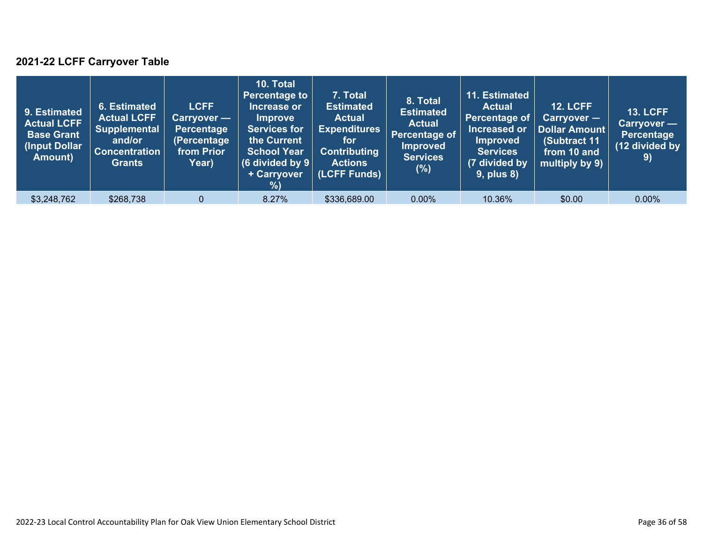### **2021-22 LCFF Carryover Table**

| 9. Estimated<br><b>Actual LCFF</b><br><b>Base Grant</b><br>(Input Dollar)<br>Amount) | 6. Estimated<br><b>Actual LCFF</b><br><b>Supplemental</b><br>and/or<br><b>Concentration</b><br><b>Grants</b> | <b>LCFF</b><br>Carryover —<br><b>Percentage</b><br>(Percentage<br>from Prior<br>Year) | 10. Total<br><b>Percentage to</b><br>Increase or<br><b>Improve</b><br><b>Services for</b><br>the Current<br><b>School Year</b><br>(6 divided by $9$ $ $<br>+ Carryover<br>% | 7. Total<br><b>Estimated</b><br><b>Actual</b><br><b>Expenditures</b><br>for<br><b>Contributing</b><br><b>Actions</b><br>(LCFF Funds) | 8. Total<br><b>Estimated</b><br><b>Actual</b><br>Percentage of<br><b>Improved</b><br><b>Services</b><br>(%) | 11. Estimated<br><b>Actual</b><br>Percentage of<br>Increased or<br><b>Improved</b><br><b>Services</b><br>(7 divided by<br><b>9, plus 8)</b> | <b>12. LCFF</b><br>$Carryover -$<br>Dollar Amount<br>(Subtract 11<br>from 10 and<br>multiply by 9) | <b>13. LCFF</b><br>Carryover -<br><b>Percentage</b><br>(12 divided by<br>9) |
|--------------------------------------------------------------------------------------|--------------------------------------------------------------------------------------------------------------|---------------------------------------------------------------------------------------|-----------------------------------------------------------------------------------------------------------------------------------------------------------------------------|--------------------------------------------------------------------------------------------------------------------------------------|-------------------------------------------------------------------------------------------------------------|---------------------------------------------------------------------------------------------------------------------------------------------|----------------------------------------------------------------------------------------------------|-----------------------------------------------------------------------------|
| \$3,248,762                                                                          | \$268,738                                                                                                    | $\mathbf{0}$                                                                          | 8.27%                                                                                                                                                                       | \$336,689.00                                                                                                                         | $0.00\%$                                                                                                    | 10.36%                                                                                                                                      | \$0.00                                                                                             | $0.00\%$                                                                    |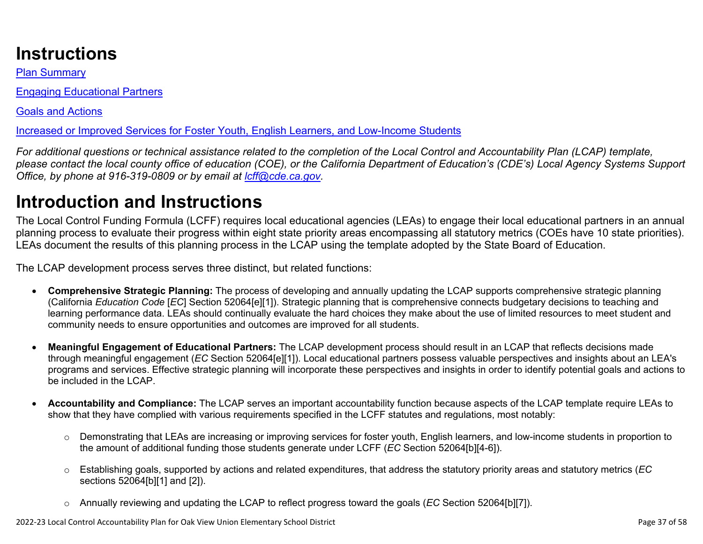## **Instructions**

Plan Summary

Engaging Educational Partners

Goals and Actions

Increased or Improved Services for Foster Youth, English Learners, and Low-Income Students

*For additional questions or technical assistance related to the completion of the Local Control and Accountability Plan (LCAP) template, please contact the local county office of education (COE), or the California Department of Education's (CDE's) Local Agency Systems Support Office, by phone at 916-319-0809 or by email at [lcff@cde.ca.gov](mailto:lcff@cde.ca.gov).*

# **Introduction and Instructions**

The Local Control Funding Formula (LCFF) requires local educational agencies (LEAs) to engage their local educational partners in an annual planning process to evaluate their progress within eight state priority areas encompassing all statutory metrics (COEs have 10 state priorities). LEAs document the results of this planning process in the LCAP using the template adopted by the State Board of Education.

The LCAP development process serves three distinct, but related functions:

- **Comprehensive Strategic Planning:** The process of developing and annually updating the LCAP supports comprehensive strategic planning (California *Education Code* [*EC*] Section 52064[e][1]). Strategic planning that is comprehensive connects budgetary decisions to teaching and learning performance data. LEAs should continually evaluate the hard choices they make about the use of limited resources to meet student and community needs to ensure opportunities and outcomes are improved for all students.
- **Meaningful Engagement of Educational Partners:** The LCAP development process should result in an LCAP that reflects decisions made through meaningful engagement (*EC* Section 52064[e][1]). Local educational partners possess valuable perspectives and insights about an LEA's programs and services. Effective strategic planning will incorporate these perspectives and insights in order to identify potential goals and actions to be included in the LCAP.
- **Accountability and Compliance:** The LCAP serves an important accountability function because aspects of the LCAP template require LEAs to show that they have complied with various requirements specified in the LCFF statutes and regulations, most notably:
	- o Demonstrating that LEAs are increasing or improving services for foster youth, English learners, and low-income students in proportion to the amount of additional funding those students generate under LCFF (*EC* Section 52064[b][4-6]).
	- o Establishing goals, supported by actions and related expenditures, that address the statutory priority areas and statutory metrics (*EC* sections 52064[b][1] and [2]).
	- o Annually reviewing and updating the LCAP to reflect progress toward the goals (*EC* Section 52064[b][7]).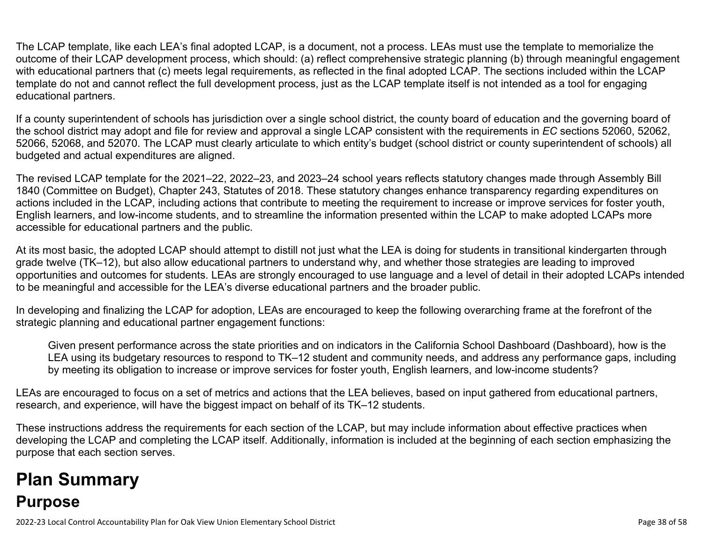The LCAP template, like each LEA's final adopted LCAP, is a document, not a process. LEAs must use the template to memorialize the outcome of their LCAP development process, which should: (a) reflect comprehensive strategic planning (b) through meaningful engagement with educational partners that (c) meets legal requirements, as reflected in the final adopted LCAP. The sections included within the LCAP template do not and cannot reflect the full development process, just as the LCAP template itself is not intended as a tool for engaging educational partners.

If a county superintendent of schools has jurisdiction over a single school district, the county board of education and the governing board of the school district may adopt and file for review and approval a single LCAP consistent with the requirements in *EC* sections 52060, 52062, 52066, 52068, and 52070. The LCAP must clearly articulate to which entity's budget (school district or county superintendent of schools) all budgeted and actual expenditures are aligned.

The revised LCAP template for the 2021–22, 2022–23, and 2023–24 school years reflects statutory changes made through Assembly Bill 1840 (Committee on Budget), Chapter 243, Statutes of 2018. These statutory changes enhance transparency regarding expenditures on actions included in the LCAP, including actions that contribute to meeting the requirement to increase or improve services for foster youth, English learners, and low-income students, and to streamline the information presented within the LCAP to make adopted LCAPs more accessible for educational partners and the public.

At its most basic, the adopted LCAP should attempt to distill not just what the LEA is doing for students in transitional kindergarten through grade twelve (TK–12), but also allow educational partners to understand why, and whether those strategies are leading to improved opportunities and outcomes for students. LEAs are strongly encouraged to use language and a level of detail in their adopted LCAPs intended to be meaningful and accessible for the LEA's diverse educational partners and the broader public.

In developing and finalizing the LCAP for adoption, LEAs are encouraged to keep the following overarching frame at the forefront of the strategic planning and educational partner engagement functions:

Given present performance across the state priorities and on indicators in the California School Dashboard (Dashboard), how is the LEA using its budgetary resources to respond to TK–12 student and community needs, and address any performance gaps, including by meeting its obligation to increase or improve services for foster youth, English learners, and low-income students?

LEAs are encouraged to focus on a set of metrics and actions that the LEA believes, based on input gathered from educational partners, research, and experience, will have the biggest impact on behalf of its TK–12 students.

These instructions address the requirements for each section of the LCAP, but may include information about effective practices when developing the LCAP and completing the LCAP itself. Additionally, information is included at the beginning of each section emphasizing the purpose that each section serves.

# **Plan Summary Purpose**

2022-23 Local Control Accountability Plan for Oak View Union Elementary School District **Page 38 of 58** and 58 of 58 of 58 of 58 of 58 of 58 of 58 of 58 of 58 of 58 of 58 of 58 of 58 of 58 of 58 of 58 of 58 of 58 of 58 of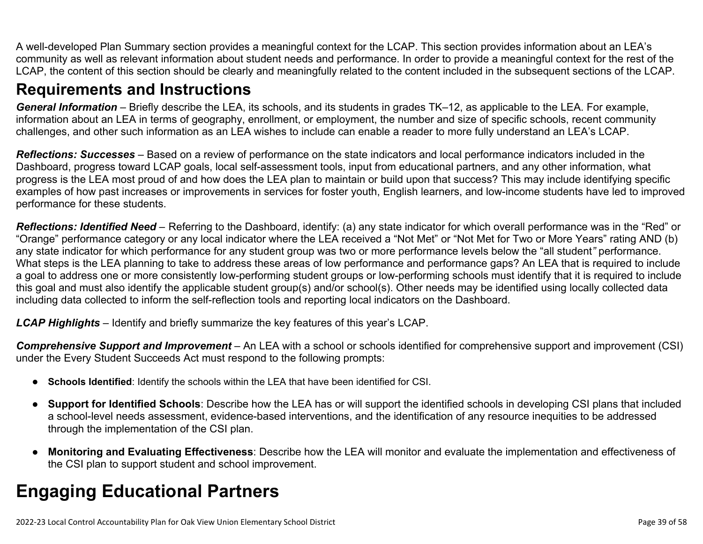A well-developed Plan Summary section provides a meaningful context for the LCAP. This section provides information about an LEA's community as well as relevant information about student needs and performance. In order to provide a meaningful context for the rest of the LCAP, the content of this section should be clearly and meaningfully related to the content included in the subsequent sections of the LCAP.

### **Requirements and Instructions**

*General Information* – Briefly describe the LEA, its schools, and its students in grades TK–12, as applicable to the LEA. For example, information about an LEA in terms of geography, enrollment, or employment, the number and size of specific schools, recent community challenges, and other such information as an LEA wishes to include can enable a reader to more fully understand an LEA's LCAP.

*Reflections: Successes* – Based on a review of performance on the state indicators and local performance indicators included in the Dashboard, progress toward LCAP goals, local self-assessment tools, input from educational partners, and any other information, what progress is the LEA most proud of and how does the LEA plan to maintain or build upon that success? This may include identifying specific examples of how past increases or improvements in services for foster youth, English learners, and low-income students have led to improved performance for these students.

*Reflections: Identified Need* – Referring to the Dashboard, identify: (a) any state indicator for which overall performance was in the "Red" or "Orange" performance category or any local indicator where the LEA received a "Not Met" or "Not Met for Two or More Years" rating AND (b) any state indicator for which performance for any student group was two or more performance levels below the "all student*"* performance. What steps is the LEA planning to take to address these areas of low performance and performance gaps? An LEA that is required to include a goal to address one or more consistently low-performing student groups or low-performing schools must identify that it is required to include this goal and must also identify the applicable student group(s) and/or school(s). Other needs may be identified using locally collected data including data collected to inform the self-reflection tools and reporting local indicators on the Dashboard.

*LCAP Highlights* – Identify and briefly summarize the key features of this year's LCAP.

*Comprehensive Support and Improvement* – An LEA with a school or schools identified for comprehensive support and improvement (CSI) under the Every Student Succeeds Act must respond to the following prompts:

- **Schools Identified**: Identify the schools within the LEA that have been identified for CSI.
- **Support for Identified Schools**: Describe how the LEA has or will support the identified schools in developing CSI plans that included a school-level needs assessment, evidence-based interventions, and the identification of any resource inequities to be addressed through the implementation of the CSI plan.
- **Monitoring and Evaluating Effectiveness**: Describe how the LEA will monitor and evaluate the implementation and effectiveness of the CSI plan to support student and school improvement.

# **Engaging Educational Partners**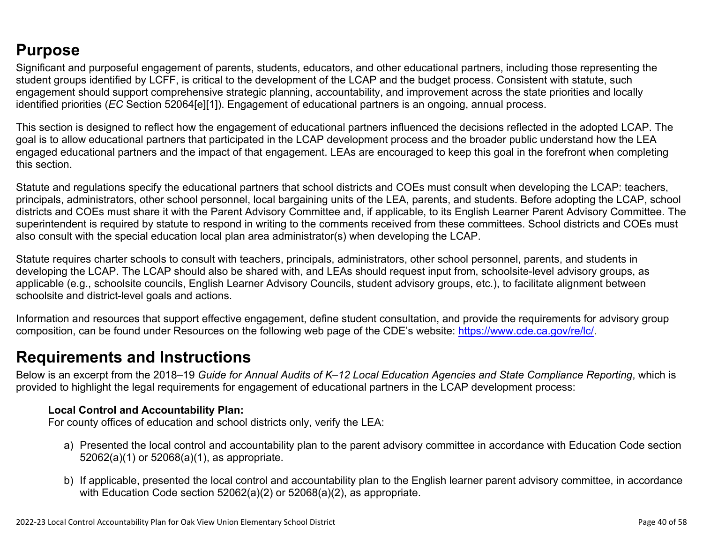### **Purpose**

Significant and purposeful engagement of parents, students, educators, and other educational partners, including those representing the student groups identified by LCFF, is critical to the development of the LCAP and the budget process. Consistent with statute, such engagement should support comprehensive strategic planning, accountability, and improvement across the state priorities and locally identified priorities (*EC* Section 52064[e][1]). Engagement of educational partners is an ongoing, annual process.

This section is designed to reflect how the engagement of educational partners influenced the decisions reflected in the adopted LCAP. The goal is to allow educational partners that participated in the LCAP development process and the broader public understand how the LEA engaged educational partners and the impact of that engagement. LEAs are encouraged to keep this goal in the forefront when completing this section.

Statute and regulations specify the educational partners that school districts and COEs must consult when developing the LCAP: teachers, principals, administrators, other school personnel, local bargaining units of the LEA, parents, and students. Before adopting the LCAP, school districts and COEs must share it with the Parent Advisory Committee and, if applicable, to its English Learner Parent Advisory Committee. The superintendent is required by statute to respond in writing to the comments received from these committees. School districts and COEs must also consult with the special education local plan area administrator(s) when developing the LCAP.

Statute requires charter schools to consult with teachers, principals, administrators, other school personnel, parents, and students in developing the LCAP. The LCAP should also be shared with, and LEAs should request input from, schoolsite-level advisory groups, as applicable (e.g., schoolsite councils, English Learner Advisory Councils, student advisory groups, etc.), to facilitate alignment between schoolsite and district-level goals and actions.

Information and resources that support effective engagement, define student consultation, and provide the requirements for advisory group composition, can be found under Resources on the following web page of the CDE's website: <https://www.cde.ca.gov/re/lc/>.

### **Requirements and Instructions**

Below is an excerpt from the 2018–19 *Guide for Annual Audits of K–12 Local Education Agencies and State Compliance Reporting*, which is provided to highlight the legal requirements for engagement of educational partners in the LCAP development process:

#### **Local Control and Accountability Plan:**

For county offices of education and school districts only, verify the LEA:

- a) Presented the local control and accountability plan to the parent advisory committee in accordance with Education Code section 52062(a)(1) or 52068(a)(1), as appropriate.
- b) If applicable, presented the local control and accountability plan to the English learner parent advisory committee, in accordance with Education Code section 52062(a)(2) or 52068(a)(2), as appropriate.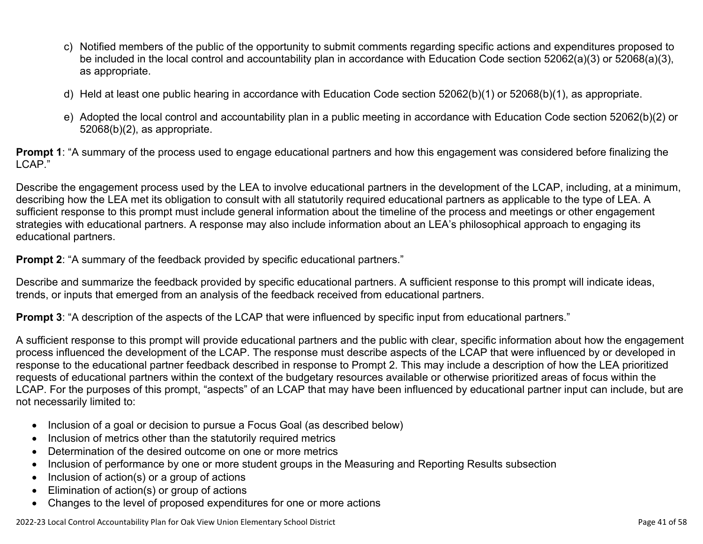- c) Notified members of the public of the opportunity to submit comments regarding specific actions and expenditures proposed to be included in the local control and accountability plan in accordance with Education Code section 52062(a)(3) or 52068(a)(3), as appropriate.
- d) Held at least one public hearing in accordance with Education Code section 52062(b)(1) or 52068(b)(1), as appropriate.
- e) Adopted the local control and accountability plan in a public meeting in accordance with Education Code section 52062(b)(2) or 52068(b)(2), as appropriate.

**Prompt 1**: "A summary of the process used to engage educational partners and how this engagement was considered before finalizing the LCAP."

Describe the engagement process used by the LEA to involve educational partners in the development of the LCAP, including, at a minimum, describing how the LEA met its obligation to consult with all statutorily required educational partners as applicable to the type of LEA. A sufficient response to this prompt must include general information about the timeline of the process and meetings or other engagement strategies with educational partners. A response may also include information about an LEA's philosophical approach to engaging its educational partners.

**Prompt 2:** "A summary of the feedback provided by specific educational partners."

Describe and summarize the feedback provided by specific educational partners. A sufficient response to this prompt will indicate ideas, trends, or inputs that emerged from an analysis of the feedback received from educational partners.

**Prompt 3**: "A description of the aspects of the LCAP that were influenced by specific input from educational partners."

A sufficient response to this prompt will provide educational partners and the public with clear, specific information about how the engagement process influenced the development of the LCAP. The response must describe aspects of the LCAP that were influenced by or developed in response to the educational partner feedback described in response to Prompt 2. This may include a description of how the LEA prioritized requests of educational partners within the context of the budgetary resources available or otherwise prioritized areas of focus within the LCAP. For the purposes of this prompt, "aspects" of an LCAP that may have been influenced by educational partner input can include, but are not necessarily limited to:

- Inclusion of a goal or decision to pursue a Focus Goal (as described below)
- Inclusion of metrics other than the statutorily required metrics
- Determination of the desired outcome on one or more metrics
- Inclusion of performance by one or more student groups in the Measuring and Reporting Results subsection
- Inclusion of action(s) or a group of actions
- Elimination of action(s) or group of actions
- Changes to the level of proposed expenditures for one or more actions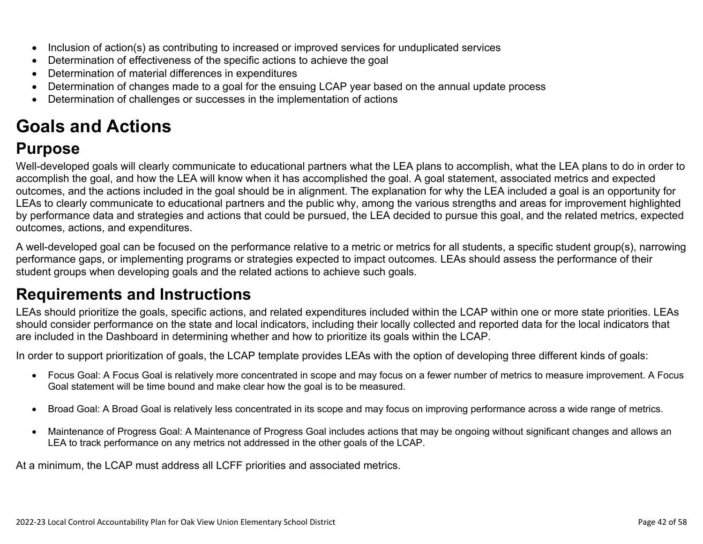- Inclusion of action(s) as contributing to increased or improved services for unduplicated services
- Determination of effectiveness of the specific actions to achieve the goal
- Determination of material differences in expenditures
- Determination of changes made to a goal for the ensuing LCAP year based on the annual update process
- Determination of challenges or successes in the implementation of actions

# **Goals and Actions**

## **Purpose**

Well-developed goals will clearly communicate to educational partners what the LEA plans to accomplish, what the LEA plans to do in order to accomplish the goal, and how the LEA will know when it has accomplished the goal. A goal statement, associated metrics and expected outcomes, and the actions included in the goal should be in alignment. The explanation for why the LEA included a goal is an opportunity for LEAs to clearly communicate to educational partners and the public why, among the various strengths and areas for improvement highlighted by performance data and strategies and actions that could be pursued, the LEA decided to pursue this goal, and the related metrics, expected outcomes, actions, and expenditures.

A well-developed goal can be focused on the performance relative to a metric or metrics for all students, a specific student group(s), narrowing performance gaps, or implementing programs or strategies expected to impact outcomes. LEAs should assess the performance of their student groups when developing goals and the related actions to achieve such goals.

## **Requirements and Instructions**

LEAs should prioritize the goals, specific actions, and related expenditures included within the LCAP within one or more state priorities. LEAs should consider performance on the state and local indicators, including their locally collected and reported data for the local indicators that are included in the Dashboard in determining whether and how to prioritize its goals within the LCAP.

In order to support prioritization of goals, the LCAP template provides LEAs with the option of developing three different kinds of goals:

- Focus Goal: A Focus Goal is relatively more concentrated in scope and may focus on a fewer number of metrics to measure improvement. A Focus Goal statement will be time bound and make clear how the goal is to be measured.
- Broad Goal: A Broad Goal is relatively less concentrated in its scope and may focus on improving performance across a wide range of metrics.
- Maintenance of Progress Goal: A Maintenance of Progress Goal includes actions that may be ongoing without significant changes and allows an LEA to track performance on any metrics not addressed in the other goals of the LCAP.

At a minimum, the LCAP must address all LCFF priorities and associated metrics.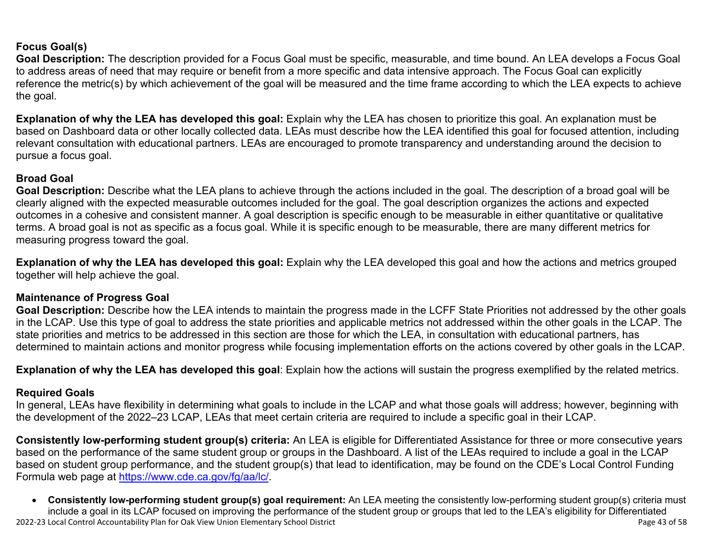#### **Focus Goal(s)**

**Goal Description:** The description provided for a Focus Goal must be specific, measurable, and time bound. An LEA develops a Focus Goal to address areas of need that may require or benefit from a more specific and data intensive approach. The Focus Goal can explicitly reference the metric(s) by which achievement of the goal will be measured and the time frame according to which the LEA expects to achieve the goal.

**Explanation of why the LEA has developed this goal:** Explain why the LEA has chosen to prioritize this goal. An explanation must be based on Dashboard data or other locally collected data. LEAs must describe how the LEA identified this goal for focused attention, including relevant consultation with educational partners. LEAs are encouraged to promote transparency and understanding around the decision to pursue a focus goal.

#### **Broad Goal**

Goal Description: Describe what the LEA plans to achieve through the actions included in the goal. The description of a broad goal will be clearly aligned with the expected measurable outcomes included for the goal. The goal description organizes the actions and expected outcomes in a cohesive and consistent manner. A goal description is specific enough to be measurable in either quantitative or qualitative terms. A broad goal is not as specific as a focus goal. While it is specific enough to be measurable, there are many different metrics for measuring progress toward the goal.

**Explanation of why the LEA has developed this goal:** Explain why the LEA developed this goal and how the actions and metrics grouped together will help achieve the goal.

#### **Maintenance of Progress Goal**

**Goal Description:** Describe how the LEA intends to maintain the progress made in the LCFF State Priorities not addressed by the other goals in the LCAP. Use this type of goal to address the state priorities and applicable metrics not addressed within the other goals in the LCAP. The state priorities and metrics to be addressed in this section are those for which the LEA, in consultation with educational partners, has determined to maintain actions and monitor progress while focusing implementation efforts on the actions covered by other goals in the LCAP.

**Explanation of why the LEA has developed this goal**: Explain how the actions will sustain the progress exemplified by the related metrics.

#### **Required Goals**

In general, LEAs have flexibility in determining what goals to include in the LCAP and what those goals will address; however, beginning with the development of the 2022–23 LCAP, LEAs that meet certain criteria are required to include a specific goal in their LCAP.

**Consistently low-performing student group(s) criteria:** An LEA is eligible for Differentiated Assistance for three or more consecutive years based on the performance of the same student group or groups in the Dashboard. A list of the LEAs required to include a goal in the LCAP based on student group performance, and the student group(s) that lead to identification, may be found on the CDE's Local Control Funding Formula web page at [https://www.cde.ca.gov/fg/aa/lc/.](https://www.cde.ca.gov/fg/aa/lc/)

2022-23 Local Control Accountability Plan for Oak View Union Elementary School District Page 43 of 58 • **Consistently low-performing student group(s) goal requirement:** An LEA meeting the consistently low-performing student group(s) criteria must include a goal in its LCAP focused on improving the performance of the student group or groups that led to the LEA's eligibility for Differentiated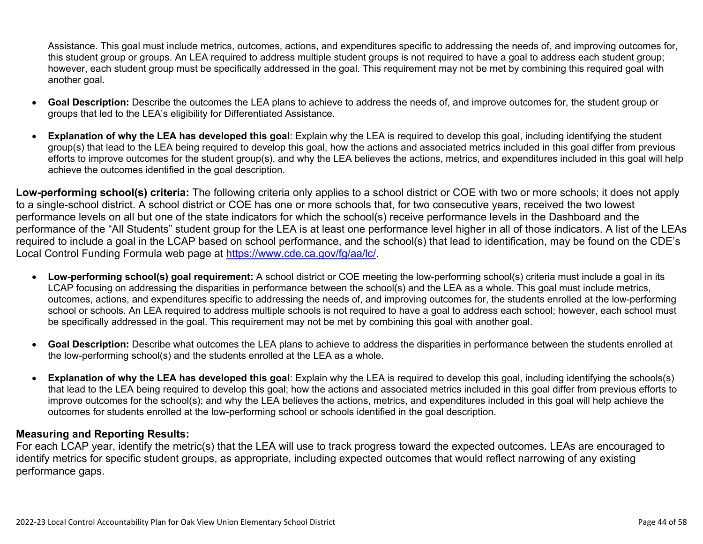Assistance. This goal must include metrics, outcomes, actions, and expenditures specific to addressing the needs of, and improving outcomes for, this student group or groups. An LEA required to address multiple student groups is not required to have a goal to address each student group; however, each student group must be specifically addressed in the goal. This requirement may not be met by combining this required goal with another goal.

- **Goal Description:** Describe the outcomes the LEA plans to achieve to address the needs of, and improve outcomes for, the student group or groups that led to the LEA's eligibility for Differentiated Assistance.
- **Explanation of why the LEA has developed this goal**: Explain why the LEA is required to develop this goal, including identifying the student group(s) that lead to the LEA being required to develop this goal, how the actions and associated metrics included in this goal differ from previous efforts to improve outcomes for the student group(s), and why the LEA believes the actions, metrics, and expenditures included in this goal will help achieve the outcomes identified in the goal description.

**Low-performing school(s) criteria:** The following criteria only applies to a school district or COE with two or more schools; it does not apply to a single-school district. A school district or COE has one or more schools that, for two consecutive years, received the two lowest performance levels on all but one of the state indicators for which the school(s) receive performance levels in the Dashboard and the performance of the "All Students" student group for the LEA is at least one performance level higher in all of those indicators. A list of the LEAs required to include a goal in the LCAP based on school performance, and the school(s) that lead to identification, may be found on the CDE's Local Control Funding Formula web page at [https://www.cde.ca.gov/fg/aa/lc/.](https://www.cde.ca.gov/fg/aa/lc/)

- **Low-performing school(s) goal requirement:** A school district or COE meeting the low-performing school(s) criteria must include a goal in its LCAP focusing on addressing the disparities in performance between the school(s) and the LEA as a whole. This goal must include metrics, outcomes, actions, and expenditures specific to addressing the needs of, and improving outcomes for, the students enrolled at the low-performing school or schools. An LEA required to address multiple schools is not required to have a goal to address each school; however, each school must be specifically addressed in the goal. This requirement may not be met by combining this goal with another goal.
- **Goal Description:** Describe what outcomes the LEA plans to achieve to address the disparities in performance between the students enrolled at the low-performing school(s) and the students enrolled at the LEA as a whole.
- **Explanation of why the LEA has developed this goal**: Explain why the LEA is required to develop this goal, including identifying the schools(s) that lead to the LEA being required to develop this goal; how the actions and associated metrics included in this goal differ from previous efforts to improve outcomes for the school(s); and why the LEA believes the actions, metrics, and expenditures included in this goal will help achieve the outcomes for students enrolled at the low-performing school or schools identified in the goal description.

#### **Measuring and Reporting Results:**

For each LCAP year, identify the metric(s) that the LEA will use to track progress toward the expected outcomes. LEAs are encouraged to identify metrics for specific student groups, as appropriate, including expected outcomes that would reflect narrowing of any existing performance gaps.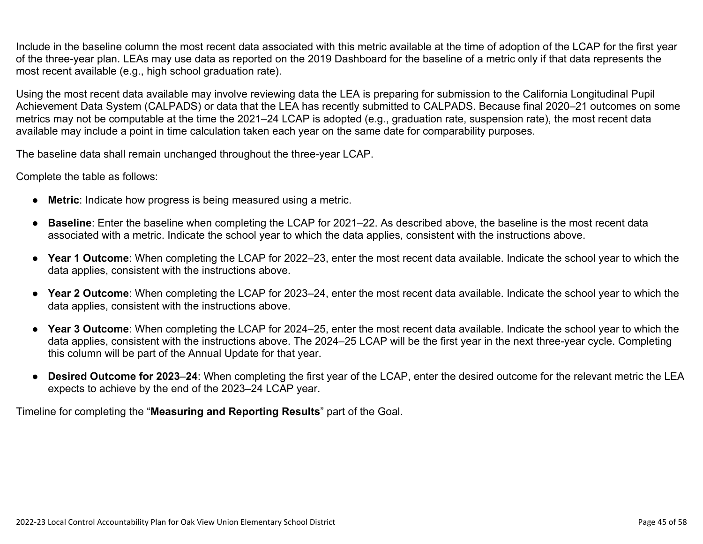Include in the baseline column the most recent data associated with this metric available at the time of adoption of the LCAP for the first year of the three-year plan. LEAs may use data as reported on the 2019 Dashboard for the baseline of a metric only if that data represents the most recent available (e.g., high school graduation rate).

Using the most recent data available may involve reviewing data the LEA is preparing for submission to the California Longitudinal Pupil Achievement Data System (CALPADS) or data that the LEA has recently submitted to CALPADS. Because final 2020–21 outcomes on some metrics may not be computable at the time the 2021–24 LCAP is adopted (e.g., graduation rate, suspension rate), the most recent data available may include a point in time calculation taken each year on the same date for comparability purposes.

The baseline data shall remain unchanged throughout the three-year LCAP.

Complete the table as follows:

- **Metric**: Indicate how progress is being measured using a metric.
- **Baseline**: Enter the baseline when completing the LCAP for 2021–22. As described above, the baseline is the most recent data associated with a metric. Indicate the school year to which the data applies, consistent with the instructions above.
- **Year 1 Outcome**: When completing the LCAP for 2022–23, enter the most recent data available. Indicate the school year to which the data applies, consistent with the instructions above.
- **Year 2 Outcome**: When completing the LCAP for 2023–24, enter the most recent data available. Indicate the school year to which the data applies, consistent with the instructions above.
- **Year 3 Outcome**: When completing the LCAP for 2024–25, enter the most recent data available. Indicate the school year to which the data applies, consistent with the instructions above. The 2024–25 LCAP will be the first year in the next three-year cycle. Completing this column will be part of the Annual Update for that year.
- **Desired Outcome for 2023**–**24**: When completing the first year of the LCAP, enter the desired outcome for the relevant metric the LEA expects to achieve by the end of the 2023–24 LCAP year.

Timeline for completing the "**Measuring and Reporting Results**" part of the Goal.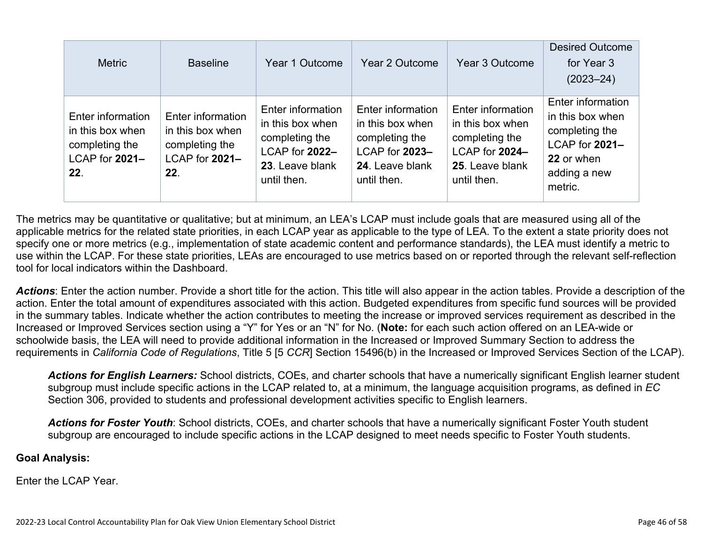| <b>Metric</b>                                                                    | <b>Baseline</b>                                                                  | Year 1 Outcome                                                                                              | Year 2 Outcome                                                                                              | Year 3 Outcome                                                                                              | <b>Desired Outcome</b><br>for Year 3<br>$(2023 - 24)$                                                              |
|----------------------------------------------------------------------------------|----------------------------------------------------------------------------------|-------------------------------------------------------------------------------------------------------------|-------------------------------------------------------------------------------------------------------------|-------------------------------------------------------------------------------------------------------------|--------------------------------------------------------------------------------------------------------------------|
| Enter information<br>in this box when<br>completing the<br>LCAP for 2021-<br>22. | Enter information<br>in this box when<br>completing the<br>LCAP for 2021-<br>22. | Enter information<br>in this box when<br>completing the<br>LCAP for 2022-<br>23. Leave blank<br>until then. | Enter information<br>in this box when<br>completing the<br>LCAP for 2023-<br>24. Leave blank<br>until then. | Enter information<br>in this box when<br>completing the<br>LCAP for 2024-<br>25. Leave blank<br>until then. | Enter information<br>in this box when<br>completing the<br>LCAP for 2021-<br>22 or when<br>adding a new<br>metric. |

The metrics may be quantitative or qualitative; but at minimum, an LEA's LCAP must include goals that are measured using all of the applicable metrics for the related state priorities, in each LCAP year as applicable to the type of LEA. To the extent a state priority does not specify one or more metrics (e.g., implementation of state academic content and performance standards), the LEA must identify a metric to use within the LCAP. For these state priorities, LEAs are encouraged to use metrics based on or reported through the relevant self-reflection tool for local indicators within the Dashboard.

*Actions*: Enter the action number. Provide a short title for the action. This title will also appear in the action tables. Provide a description of the action. Enter the total amount of expenditures associated with this action. Budgeted expenditures from specific fund sources will be provided in the summary tables. Indicate whether the action contributes to meeting the increase or improved services requirement as described in the Increased or Improved Services section using a "Y" for Yes or an "N" for No. (**Note:** for each such action offered on an LEA-wide or schoolwide basis, the LEA will need to provide additional information in the Increased or Improved Summary Section to address the requirements in *California Code of Regulations*, Title 5 [5 *CCR*] Section 15496(b) in the Increased or Improved Services Section of the LCAP).

*Actions for English Learners:* School districts, COEs, and charter schools that have a numerically significant English learner student subgroup must include specific actions in the LCAP related to, at a minimum, the language acquisition programs, as defined in *EC* Section 306, provided to students and professional development activities specific to English learners.

*Actions for Foster Youth*: School districts, COEs, and charter schools that have a numerically significant Foster Youth student subgroup are encouraged to include specific actions in the LCAP designed to meet needs specific to Foster Youth students.

#### **Goal Analysis:**

Enter the LCAP Year.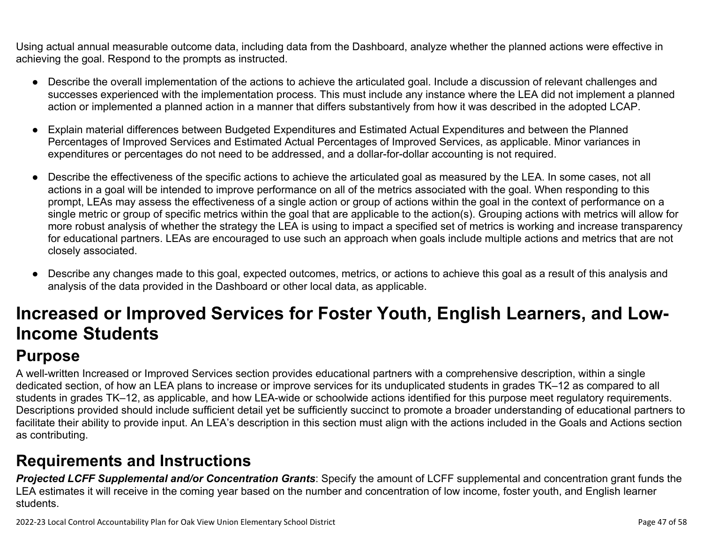Using actual annual measurable outcome data, including data from the Dashboard, analyze whether the planned actions were effective in achieving the goal. Respond to the prompts as instructed.

- Describe the overall implementation of the actions to achieve the articulated goal. Include a discussion of relevant challenges and successes experienced with the implementation process. This must include any instance where the LEA did not implement a planned action or implemented a planned action in a manner that differs substantively from how it was described in the adopted LCAP.
- Explain material differences between Budgeted Expenditures and Estimated Actual Expenditures and between the Planned Percentages of Improved Services and Estimated Actual Percentages of Improved Services, as applicable. Minor variances in expenditures or percentages do not need to be addressed, and a dollar-for-dollar accounting is not required.
- Describe the effectiveness of the specific actions to achieve the articulated goal as measured by the LEA. In some cases, not all actions in a goal will be intended to improve performance on all of the metrics associated with the goal. When responding to this prompt, LEAs may assess the effectiveness of a single action or group of actions within the goal in the context of performance on a single metric or group of specific metrics within the goal that are applicable to the action(s). Grouping actions with metrics will allow for more robust analysis of whether the strategy the LEA is using to impact a specified set of metrics is working and increase transparency for educational partners. LEAs are encouraged to use such an approach when goals include multiple actions and metrics that are not closely associated.
- Describe any changes made to this goal, expected outcomes, metrics, or actions to achieve this goal as a result of this analysis and analysis of the data provided in the Dashboard or other local data, as applicable.

# **Increased or Improved Services for Foster Youth, English Learners, and Low-Income Students**

## **Purpose**

A well-written Increased or Improved Services section provides educational partners with a comprehensive description, within a single dedicated section, of how an LEA plans to increase or improve services for its unduplicated students in grades TK–12 as compared to all students in grades TK–12, as applicable, and how LEA-wide or schoolwide actions identified for this purpose meet regulatory requirements. Descriptions provided should include sufficient detail yet be sufficiently succinct to promote a broader understanding of educational partners to facilitate their ability to provide input. An LEA's description in this section must align with the actions included in the Goals and Actions section as contributing.

## **Requirements and Instructions**

*Projected LCFF Supplemental and/or Concentration Grants*: Specify the amount of LCFF supplemental and concentration grant funds the LEA estimates it will receive in the coming year based on the number and concentration of low income, foster youth, and English learner students.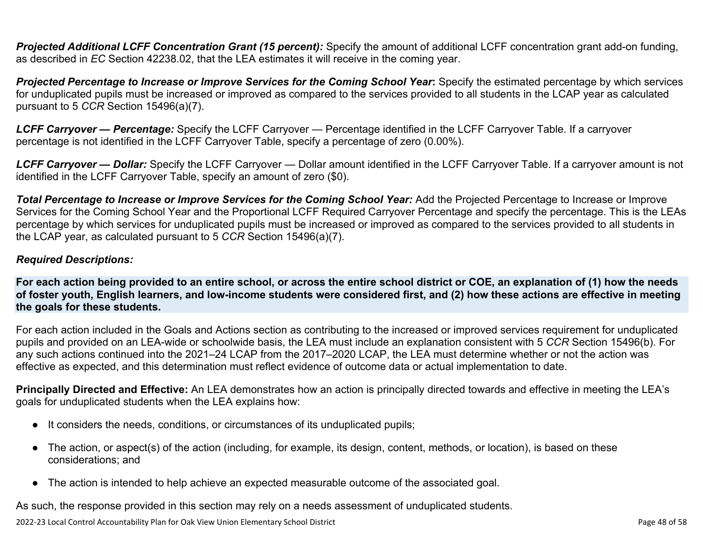**Projected Additional LCFF Concentration Grant (15 percent):** Specify the amount of additional LCFF concentration grant add-on funding, as described in *EC* Section 42238.02, that the LEA estimates it will receive in the coming year.

*Projected Percentage to Increase or Improve Services for the Coming School Year***:** Specify the estimated percentage by which services for unduplicated pupils must be increased or improved as compared to the services provided to all students in the LCAP year as calculated pursuant to 5 *CCR* Section 15496(a)(7).

*LCFF Carryover — Percentage:* Specify the LCFF Carryover — Percentage identified in the LCFF Carryover Table. If a carryover percentage is not identified in the LCFF Carryover Table, specify a percentage of zero (0.00%).

*LCFF Carryover — Dollar:* Specify the LCFF Carryover — Dollar amount identified in the LCFF Carryover Table. If a carryover amount is not identified in the LCFF Carryover Table, specify an amount of zero (\$0).

**Total Percentage to Increase or Improve Services for the Coming School Year:** Add the Projected Percentage to Increase or Improve Services for the Coming School Year and the Proportional LCFF Required Carryover Percentage and specify the percentage. This is the LEAs percentage by which services for unduplicated pupils must be increased or improved as compared to the services provided to all students in the LCAP year, as calculated pursuant to 5 *CCR* Section 15496(a)(7).

#### *Required Descriptions:*

**For each action being provided to an entire school, or across the entire school district or COE, an explanation of (1) how the needs of foster youth, English learners, and low-income students were considered first, and (2) how these actions are effective in meeting the goals for these students.**

For each action included in the Goals and Actions section as contributing to the increased or improved services requirement for unduplicated pupils and provided on an LEA-wide or schoolwide basis, the LEA must include an explanation consistent with 5 *CCR* Section 15496(b). For any such actions continued into the 2021–24 LCAP from the 2017–2020 LCAP, the LEA must determine whether or not the action was effective as expected, and this determination must reflect evidence of outcome data or actual implementation to date.

**Principally Directed and Effective:** An LEA demonstrates how an action is principally directed towards and effective in meeting the LEA's goals for unduplicated students when the LEA explains how:

- It considers the needs, conditions, or circumstances of its unduplicated pupils;
- The action, or aspect(s) of the action (including, for example, its design, content, methods, or location), is based on these considerations; and
- The action is intended to help achieve an expected measurable outcome of the associated goal.

As such, the response provided in this section may rely on a needs assessment of unduplicated students.

2022-23 Local Control Accountability Plan for Oak View Union Elementary School District Page 48 of 58 Page 48 of 58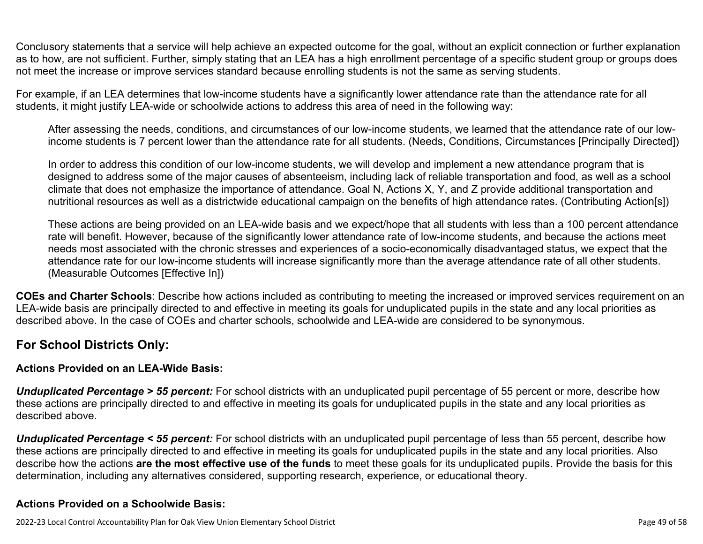Conclusory statements that a service will help achieve an expected outcome for the goal, without an explicit connection or further explanation as to how, are not sufficient. Further, simply stating that an LEA has a high enrollment percentage of a specific student group or groups does not meet the increase or improve services standard because enrolling students is not the same as serving students.

For example, if an LEA determines that low-income students have a significantly lower attendance rate than the attendance rate for all students, it might justify LEA-wide or schoolwide actions to address this area of need in the following way:

After assessing the needs, conditions, and circumstances of our low-income students, we learned that the attendance rate of our lowincome students is 7 percent lower than the attendance rate for all students. (Needs, Conditions, Circumstances [Principally Directed])

In order to address this condition of our low-income students, we will develop and implement a new attendance program that is designed to address some of the major causes of absenteeism, including lack of reliable transportation and food, as well as a school climate that does not emphasize the importance of attendance. Goal N, Actions X, Y, and Z provide additional transportation and nutritional resources as well as a districtwide educational campaign on the benefits of high attendance rates. (Contributing Action[s])

These actions are being provided on an LEA-wide basis and we expect/hope that all students with less than a 100 percent attendance rate will benefit. However, because of the significantly lower attendance rate of low-income students, and because the actions meet needs most associated with the chronic stresses and experiences of a socio-economically disadvantaged status, we expect that the attendance rate for our low-income students will increase significantly more than the average attendance rate of all other students. (Measurable Outcomes [Effective In])

**COEs and Charter Schools**: Describe how actions included as contributing to meeting the increased or improved services requirement on an LEA-wide basis are principally directed to and effective in meeting its goals for unduplicated pupils in the state and any local priorities as described above. In the case of COEs and charter schools, schoolwide and LEA-wide are considered to be synonymous.

#### **For School Districts Only:**

#### **Actions Provided on an LEA-Wide Basis:**

*Unduplicated Percentage > 55 percent:* For school districts with an unduplicated pupil percentage of 55 percent or more, describe how these actions are principally directed to and effective in meeting its goals for unduplicated pupils in the state and any local priorities as described above.

*Unduplicated Percentage < 55 percent:* For school districts with an unduplicated pupil percentage of less than 55 percent, describe how these actions are principally directed to and effective in meeting its goals for unduplicated pupils in the state and any local priorities. Also describe how the actions **are the most effective use of the funds** to meet these goals for its unduplicated pupils. Provide the basis for this determination, including any alternatives considered, supporting research, experience, or educational theory.

#### **Actions Provided on a Schoolwide Basis:**

2022-23 Local Control Accountability Plan for Oak View Union Elementary School District Page 49 of 58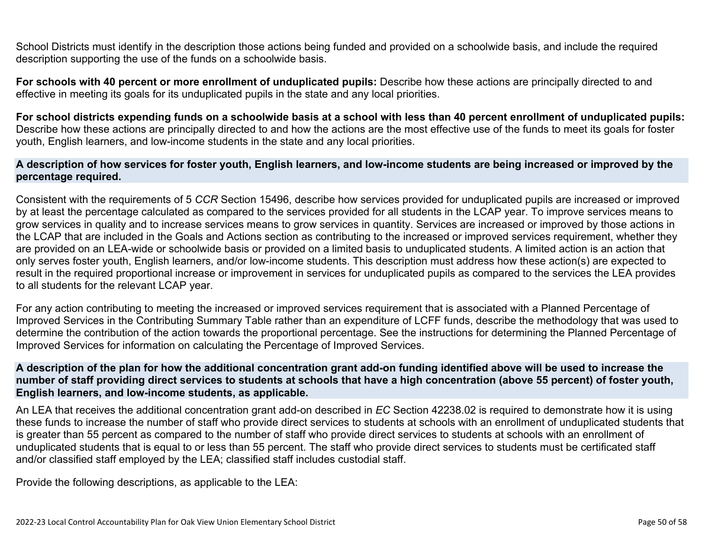School Districts must identify in the description those actions being funded and provided on a schoolwide basis, and include the required description supporting the use of the funds on a schoolwide basis.

**For schools with 40 percent or more enrollment of unduplicated pupils:** Describe how these actions are principally directed to and effective in meeting its goals for its unduplicated pupils in the state and any local priorities.

**For school districts expending funds on a schoolwide basis at a school with less than 40 percent enrollment of unduplicated pupils:** Describe how these actions are principally directed to and how the actions are the most effective use of the funds to meet its goals for foster youth, English learners, and low-income students in the state and any local priorities.

#### **A description of how services for foster youth, English learners, and low-income students are being increased or improved by the percentage required.**

Consistent with the requirements of 5 *CCR* Section 15496, describe how services provided for unduplicated pupils are increased or improved by at least the percentage calculated as compared to the services provided for all students in the LCAP year. To improve services means to grow services in quality and to increase services means to grow services in quantity. Services are increased or improved by those actions in the LCAP that are included in the Goals and Actions section as contributing to the increased or improved services requirement, whether they are provided on an LEA-wide or schoolwide basis or provided on a limited basis to unduplicated students. A limited action is an action that only serves foster youth, English learners, and/or low-income students. This description must address how these action(s) are expected to result in the required proportional increase or improvement in services for unduplicated pupils as compared to the services the LEA provides to all students for the relevant LCAP year.

For any action contributing to meeting the increased or improved services requirement that is associated with a Planned Percentage of Improved Services in the Contributing Summary Table rather than an expenditure of LCFF funds, describe the methodology that was used to determine the contribution of the action towards the proportional percentage. See the instructions for determining the Planned Percentage of Improved Services for information on calculating the Percentage of Improved Services.

#### **A description of the plan for how the additional concentration grant add-on funding identified above will be used to increase the number of staff providing direct services to students at schools that have a high concentration (above 55 percent) of foster youth, English learners, and low-income students, as applicable.**

An LEA that receives the additional concentration grant add-on described in *EC* Section 42238.02 is required to demonstrate how it is using these funds to increase the number of staff who provide direct services to students at schools with an enrollment of unduplicated students that is greater than 55 percent as compared to the number of staff who provide direct services to students at schools with an enrollment of unduplicated students that is equal to or less than 55 percent. The staff who provide direct services to students must be certificated staff and/or classified staff employed by the LEA; classified staff includes custodial staff.

Provide the following descriptions, as applicable to the LEA: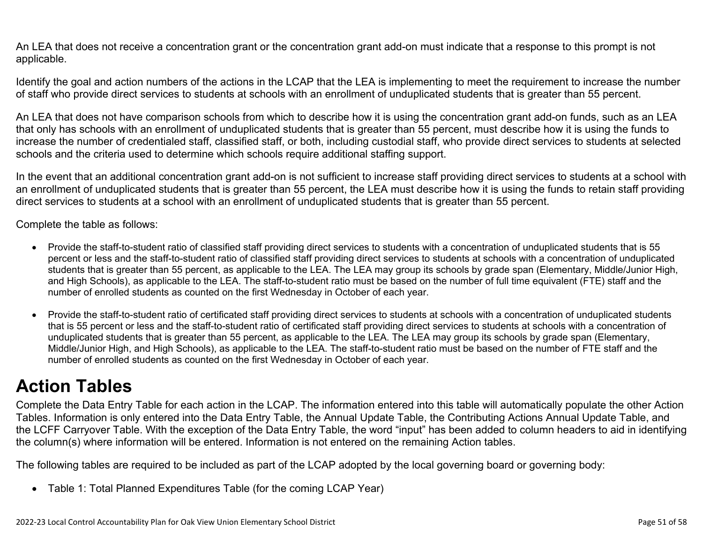An LEA that does not receive a concentration grant or the concentration grant add-on must indicate that a response to this prompt is not applicable.

Identify the goal and action numbers of the actions in the LCAP that the LEA is implementing to meet the requirement to increase the number of staff who provide direct services to students at schools with an enrollment of unduplicated students that is greater than 55 percent.

An LEA that does not have comparison schools from which to describe how it is using the concentration grant add-on funds, such as an LEA that only has schools with an enrollment of unduplicated students that is greater than 55 percent, must describe how it is using the funds to increase the number of credentialed staff, classified staff, or both, including custodial staff, who provide direct services to students at selected schools and the criteria used to determine which schools require additional staffing support.

In the event that an additional concentration grant add-on is not sufficient to increase staff providing direct services to students at a school with an enrollment of unduplicated students that is greater than 55 percent, the LEA must describe how it is using the funds to retain staff providing direct services to students at a school with an enrollment of unduplicated students that is greater than 55 percent.

Complete the table as follows:

- Provide the staff-to-student ratio of classified staff providing direct services to students with a concentration of unduplicated students that is 55 percent or less and the staff-to-student ratio of classified staff providing direct services to students at schools with a concentration of unduplicated students that is greater than 55 percent, as applicable to the LEA. The LEA may group its schools by grade span (Elementary, Middle/Junior High, and High Schools), as applicable to the LEA. The staff-to-student ratio must be based on the number of full time equivalent (FTE) staff and the number of enrolled students as counted on the first Wednesday in October of each year.
- Provide the staff-to-student ratio of certificated staff providing direct services to students at schools with a concentration of unduplicated students that is 55 percent or less and the staff-to-student ratio of certificated staff providing direct services to students at schools with a concentration of unduplicated students that is greater than 55 percent, as applicable to the LEA. The LEA may group its schools by grade span (Elementary, Middle/Junior High, and High Schools), as applicable to the LEA. The staff-to-student ratio must be based on the number of FTE staff and the number of enrolled students as counted on the first Wednesday in October of each year.

## **Action Tables**

Complete the Data Entry Table for each action in the LCAP. The information entered into this table will automatically populate the other Action Tables. Information is only entered into the Data Entry Table, the Annual Update Table, the Contributing Actions Annual Update Table, and the LCFF Carryover Table. With the exception of the Data Entry Table, the word "input" has been added to column headers to aid in identifying the column(s) where information will be entered. Information is not entered on the remaining Action tables.

The following tables are required to be included as part of the LCAP adopted by the local governing board or governing body:

• Table 1: Total Planned Expenditures Table (for the coming LCAP Year)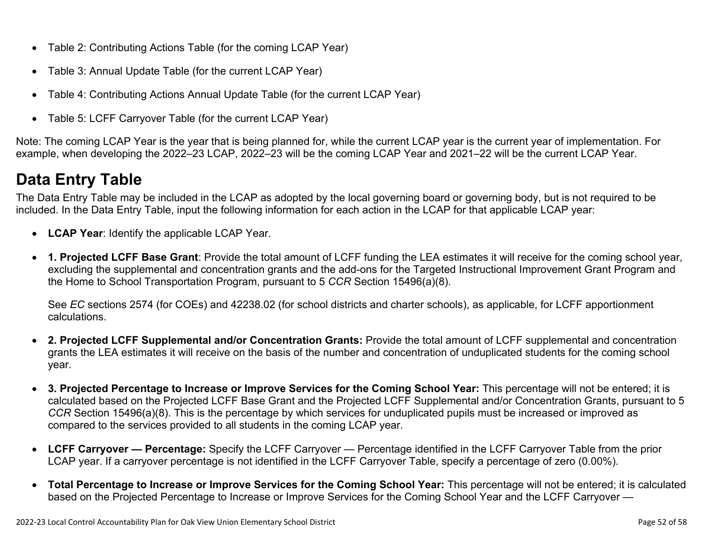- Table 2: Contributing Actions Table (for the coming LCAP Year)
- Table 3: Annual Update Table (for the current LCAP Year)
- Table 4: Contributing Actions Annual Update Table (for the current LCAP Year)
- Table 5: LCFF Carryover Table (for the current LCAP Year)

Note: The coming LCAP Year is the year that is being planned for, while the current LCAP year is the current year of implementation. For example, when developing the 2022–23 LCAP, 2022–23 will be the coming LCAP Year and 2021–22 will be the current LCAP Year.

## **Data Entry Table**

The Data Entry Table may be included in the LCAP as adopted by the local governing board or governing body, but is not required to be included. In the Data Entry Table, input the following information for each action in the LCAP for that applicable LCAP year:

- **LCAP Year**: Identify the applicable LCAP Year.
- **1. Projected LCFF Base Grant**: Provide the total amount of LCFF funding the LEA estimates it will receive for the coming school year, excluding the supplemental and concentration grants and the add-ons for the Targeted Instructional Improvement Grant Program and the Home to School Transportation Program, pursuant to 5 *CCR* Section 15496(a)(8).

See *EC* sections 2574 (for COEs) and 42238.02 (for school districts and charter schools), as applicable, for LCFF apportionment calculations.

- **2. Projected LCFF Supplemental and/or Concentration Grants:** Provide the total amount of LCFF supplemental and concentration grants the LEA estimates it will receive on the basis of the number and concentration of unduplicated students for the coming school year.
- **3. Projected Percentage to Increase or Improve Services for the Coming School Year:** This percentage will not be entered; it is calculated based on the Projected LCFF Base Grant and the Projected LCFF Supplemental and/or Concentration Grants, pursuant to 5 *CCR* Section 15496(a)(8). This is the percentage by which services for unduplicated pupils must be increased or improved as compared to the services provided to all students in the coming LCAP year.
- **LCFF Carryover Percentage:** Specify the LCFF Carryover Percentage identified in the LCFF Carryover Table from the prior LCAP year. If a carryover percentage is not identified in the LCFF Carryover Table, specify a percentage of zero (0.00%).
- **Total Percentage to Increase or Improve Services for the Coming School Year:** This percentage will not be entered; it is calculated based on the Projected Percentage to Increase or Improve Services for the Coming School Year and the LCFF Carryover —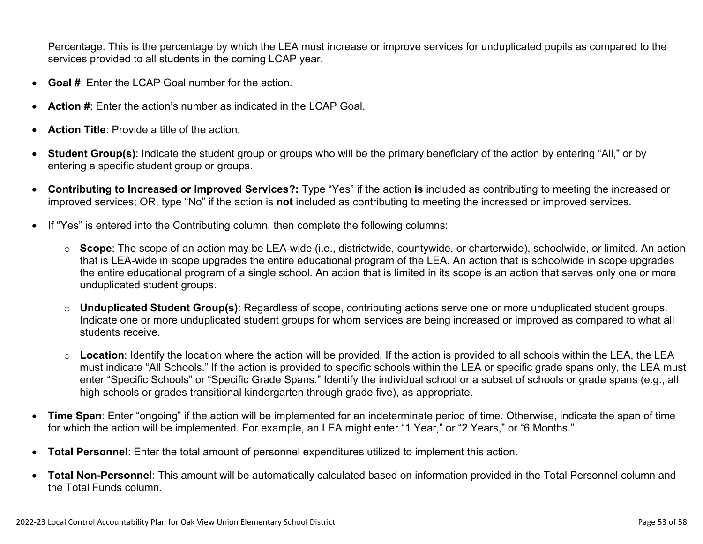Percentage. This is the percentage by which the LEA must increase or improve services for unduplicated pupils as compared to the services provided to all students in the coming LCAP year.

- **Goal #**: Enter the LCAP Goal number for the action.
- **Action #**: Enter the action's number as indicated in the LCAP Goal.
- **Action Title**: Provide a title of the action.
- **Student Group(s)**: Indicate the student group or groups who will be the primary beneficiary of the action by entering "All," or by entering a specific student group or groups.
- **Contributing to Increased or Improved Services?:** Type "Yes" if the action **is** included as contributing to meeting the increased or improved services; OR, type "No" if the action is **not** included as contributing to meeting the increased or improved services.
- If "Yes" is entered into the Contributing column, then complete the following columns:
	- o **Scope**: The scope of an action may be LEA-wide (i.e., districtwide, countywide, or charterwide), schoolwide, or limited. An action that is LEA-wide in scope upgrades the entire educational program of the LEA. An action that is schoolwide in scope upgrades the entire educational program of a single school. An action that is limited in its scope is an action that serves only one or more unduplicated student groups.
	- o **Unduplicated Student Group(s)**: Regardless of scope, contributing actions serve one or more unduplicated student groups. Indicate one or more unduplicated student groups for whom services are being increased or improved as compared to what all students receive.
	- o **Location**: Identify the location where the action will be provided. If the action is provided to all schools within the LEA, the LEA must indicate "All Schools." If the action is provided to specific schools within the LEA or specific grade spans only, the LEA must enter "Specific Schools" or "Specific Grade Spans." Identify the individual school or a subset of schools or grade spans (e.g., all high schools or grades transitional kindergarten through grade five), as appropriate.
- **Time Span**: Enter "ongoing" if the action will be implemented for an indeterminate period of time. Otherwise, indicate the span of time for which the action will be implemented. For example, an LEA might enter "1 Year," or "2 Years," or "6 Months."
- **Total Personnel**: Enter the total amount of personnel expenditures utilized to implement this action.
- **Total Non-Personnel**: This amount will be automatically calculated based on information provided in the Total Personnel column and the Total Funds column.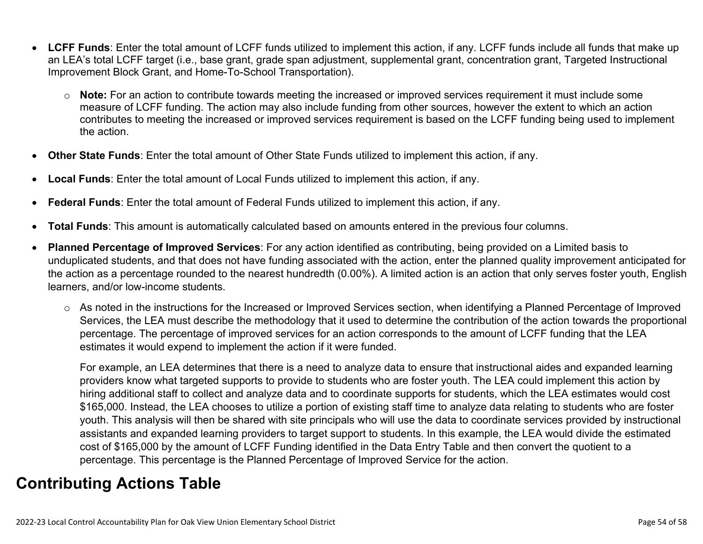- **LCFF Funds**: Enter the total amount of LCFF funds utilized to implement this action, if any. LCFF funds include all funds that make up an LEA's total LCFF target (i.e., base grant, grade span adjustment, supplemental grant, concentration grant, Targeted Instructional Improvement Block Grant, and Home-To-School Transportation).
	- o **Note:** For an action to contribute towards meeting the increased or improved services requirement it must include some measure of LCFF funding. The action may also include funding from other sources, however the extent to which an action contributes to meeting the increased or improved services requirement is based on the LCFF funding being used to implement the action.
- **Other State Funds**: Enter the total amount of Other State Funds utilized to implement this action, if any.
- **Local Funds**: Enter the total amount of Local Funds utilized to implement this action, if any.
- **Federal Funds**: Enter the total amount of Federal Funds utilized to implement this action, if any.
- **Total Funds**: This amount is automatically calculated based on amounts entered in the previous four columns.
- **Planned Percentage of Improved Services**: For any action identified as contributing, being provided on a Limited basis to unduplicated students, and that does not have funding associated with the action, enter the planned quality improvement anticipated for the action as a percentage rounded to the nearest hundredth (0.00%). A limited action is an action that only serves foster youth, English learners, and/or low-income students.
	- o As noted in the instructions for the Increased or Improved Services section, when identifying a Planned Percentage of Improved Services, the LEA must describe the methodology that it used to determine the contribution of the action towards the proportional percentage. The percentage of improved services for an action corresponds to the amount of LCFF funding that the LEA estimates it would expend to implement the action if it were funded.

For example, an LEA determines that there is a need to analyze data to ensure that instructional aides and expanded learning providers know what targeted supports to provide to students who are foster youth. The LEA could implement this action by hiring additional staff to collect and analyze data and to coordinate supports for students, which the LEA estimates would cost \$165,000. Instead, the LEA chooses to utilize a portion of existing staff time to analyze data relating to students who are foster youth. This analysis will then be shared with site principals who will use the data to coordinate services provided by instructional assistants and expanded learning providers to target support to students. In this example, the LEA would divide the estimated cost of \$165,000 by the amount of LCFF Funding identified in the Data Entry Table and then convert the quotient to a percentage. This percentage is the Planned Percentage of Improved Service for the action.

## **Contributing Actions Table**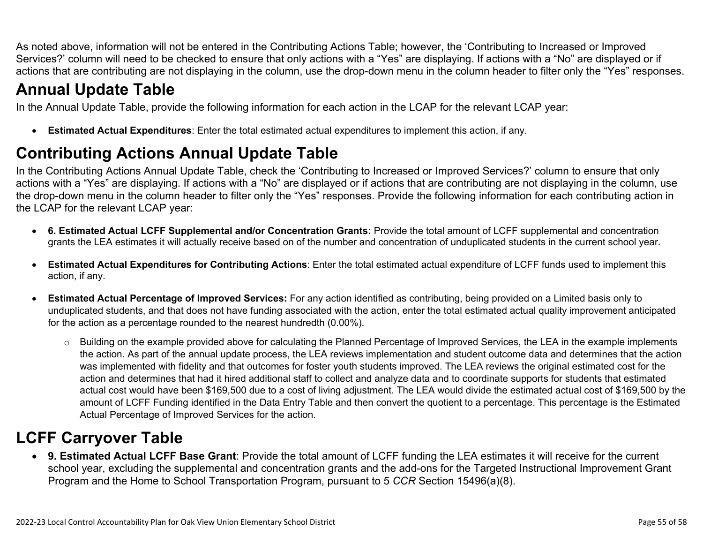As noted above, information will not be entered in the Contributing Actions Table; however, the 'Contributing to Increased or Improved Services?' column will need to be checked to ensure that only actions with a "Yes" are displaying. If actions with a "No" are displayed or if actions that are contributing are not displaying in the column, use the drop-down menu in the column header to filter only the "Yes" responses.

## **Annual Update Table**

In the Annual Update Table, provide the following information for each action in the LCAP for the relevant LCAP year:

• **Estimated Actual Expenditures**: Enter the total estimated actual expenditures to implement this action, if any.

## **Contributing Actions Annual Update Table**

In the Contributing Actions Annual Update Table, check the 'Contributing to Increased or Improved Services?' column to ensure that only actions with a "Yes" are displaying. If actions with a "No" are displayed or if actions that are contributing are not displaying in the column, use the drop-down menu in the column header to filter only the "Yes" responses. Provide the following information for each contributing action in the LCAP for the relevant LCAP year:

- **6. Estimated Actual LCFF Supplemental and/or Concentration Grants:** Provide the total amount of LCFF supplemental and concentration grants the LEA estimates it will actually receive based on of the number and concentration of unduplicated students in the current school year.
- **Estimated Actual Expenditures for Contributing Actions**: Enter the total estimated actual expenditure of LCFF funds used to implement this action, if any.
- **Estimated Actual Percentage of Improved Services:** For any action identified as contributing, being provided on a Limited basis only to unduplicated students, and that does not have funding associated with the action, enter the total estimated actual quality improvement anticipated for the action as a percentage rounded to the nearest hundredth (0.00%).
	- o Building on the example provided above for calculating the Planned Percentage of Improved Services, the LEA in the example implements the action. As part of the annual update process, the LEA reviews implementation and student outcome data and determines that the action was implemented with fidelity and that outcomes for foster youth students improved. The LEA reviews the original estimated cost for the action and determines that had it hired additional staff to collect and analyze data and to coordinate supports for students that estimated actual cost would have been \$169,500 due to a cost of living adjustment. The LEA would divide the estimated actual cost of \$169,500 by the amount of LCFF Funding identified in the Data Entry Table and then convert the quotient to a percentage. This percentage is the Estimated Actual Percentage of Improved Services for the action.

## **LCFF Carryover Table**

• **9. Estimated Actual LCFF Base Grant**: Provide the total amount of LCFF funding the LEA estimates it will receive for the current school year, excluding the supplemental and concentration grants and the add-ons for the Targeted Instructional Improvement Grant Program and the Home to School Transportation Program, pursuant to 5 *CCR* Section 15496(a)(8).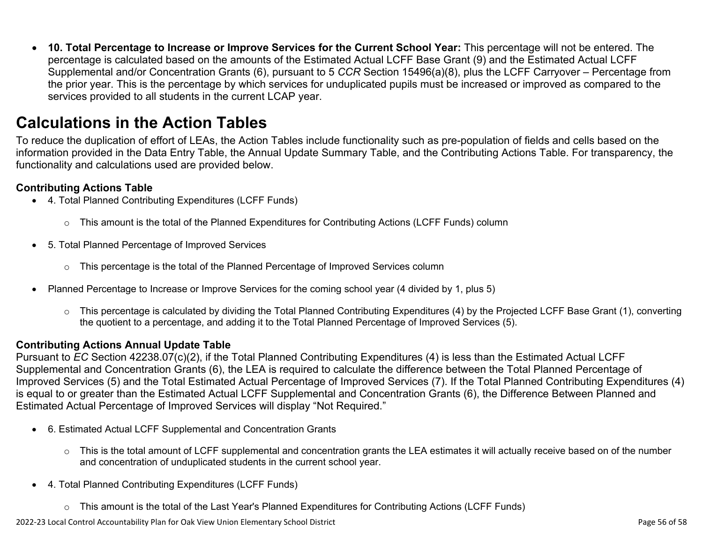• **10. Total Percentage to Increase or Improve Services for the Current School Year:** This percentage will not be entered. The percentage is calculated based on the amounts of the Estimated Actual LCFF Base Grant (9) and the Estimated Actual LCFF Supplemental and/or Concentration Grants (6), pursuant to 5 *CCR* Section 15496(a)(8), plus the LCFF Carryover – Percentage from the prior year. This is the percentage by which services for unduplicated pupils must be increased or improved as compared to the services provided to all students in the current LCAP year.

### **Calculations in the Action Tables**

To reduce the duplication of effort of LEAs, the Action Tables include functionality such as pre-population of fields and cells based on the information provided in the Data Entry Table, the Annual Update Summary Table, and the Contributing Actions Table. For transparency, the functionality and calculations used are provided below.

#### **Contributing Actions Table**

- 4. Total Planned Contributing Expenditures (LCFF Funds)
	- $\circ$  This amount is the total of the Planned Expenditures for Contributing Actions (LCFF Funds) column
- 5. Total Planned Percentage of Improved Services
	- $\circ$  This percentage is the total of the Planned Percentage of Improved Services column
- Planned Percentage to Increase or Improve Services for the coming school year (4 divided by 1, plus 5)
	- o This percentage is calculated by dividing the Total Planned Contributing Expenditures (4) by the Projected LCFF Base Grant (1), converting the quotient to a percentage, and adding it to the Total Planned Percentage of Improved Services (5).

#### **Contributing Actions Annual Update Table**

Pursuant to *EC* Section 42238.07(c)(2), if the Total Planned Contributing Expenditures (4) is less than the Estimated Actual LCFF Supplemental and Concentration Grants (6), the LEA is required to calculate the difference between the Total Planned Percentage of Improved Services (5) and the Total Estimated Actual Percentage of Improved Services (7). If the Total Planned Contributing Expenditures (4) is equal to or greater than the Estimated Actual LCFF Supplemental and Concentration Grants (6), the Difference Between Planned and Estimated Actual Percentage of Improved Services will display "Not Required."

- 6. Estimated Actual LCFF Supplemental and Concentration Grants
	- $\circ$  This is the total amount of LCFF supplemental and concentration grants the LEA estimates it will actually receive based on of the number and concentration of unduplicated students in the current school year.
- 4. Total Planned Contributing Expenditures (LCFF Funds)
	- $\circ$  This amount is the total of the Last Year's Planned Expenditures for Contributing Actions (LCFF Funds)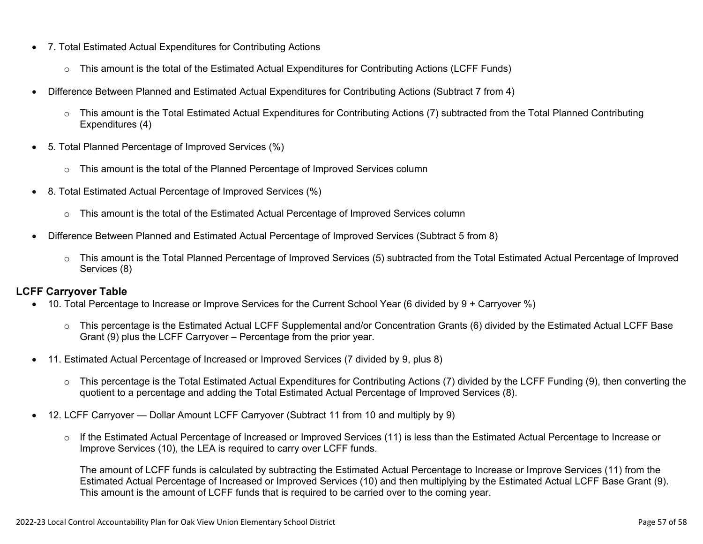- 7. Total Estimated Actual Expenditures for Contributing Actions
	- o This amount is the total of the Estimated Actual Expenditures for Contributing Actions (LCFF Funds)
- Difference Between Planned and Estimated Actual Expenditures for Contributing Actions (Subtract 7 from 4)
	- $\circ$  This amount is the Total Estimated Actual Expenditures for Contributing Actions (7) subtracted from the Total Planned Contributing Expenditures (4)
- 5. Total Planned Percentage of Improved Services (%)
	- $\circ$  This amount is the total of the Planned Percentage of Improved Services column
- 8. Total Estimated Actual Percentage of Improved Services (%)
	- o This amount is the total of the Estimated Actual Percentage of Improved Services column
- Difference Between Planned and Estimated Actual Percentage of Improved Services (Subtract 5 from 8)
	- o This amount is the Total Planned Percentage of Improved Services (5) subtracted from the Total Estimated Actual Percentage of Improved Services (8)

#### **LCFF Carryover Table**

- 10. Total Percentage to Increase or Improve Services for the Current School Year (6 divided by 9 + Carryover %)
	- $\circ$  This percentage is the Estimated Actual LCFF Supplemental and/or Concentration Grants (6) divided by the Estimated Actual LCFF Base Grant (9) plus the LCFF Carryover – Percentage from the prior year.
- 11. Estimated Actual Percentage of Increased or Improved Services (7 divided by 9, plus 8)
	- o This percentage is the Total Estimated Actual Expenditures for Contributing Actions (7) divided by the LCFF Funding (9), then converting the quotient to a percentage and adding the Total Estimated Actual Percentage of Improved Services (8).
- 12. LCFF Carryover Dollar Amount LCFF Carryover (Subtract 11 from 10 and multiply by 9)
	- $\circ$  If the Estimated Actual Percentage of Increased or Improved Services (11) is less than the Estimated Actual Percentage to Increase or Improve Services (10), the LEA is required to carry over LCFF funds.

The amount of LCFF funds is calculated by subtracting the Estimated Actual Percentage to Increase or Improve Services (11) from the Estimated Actual Percentage of Increased or Improved Services (10) and then multiplying by the Estimated Actual LCFF Base Grant (9). This amount is the amount of LCFF funds that is required to be carried over to the coming year.